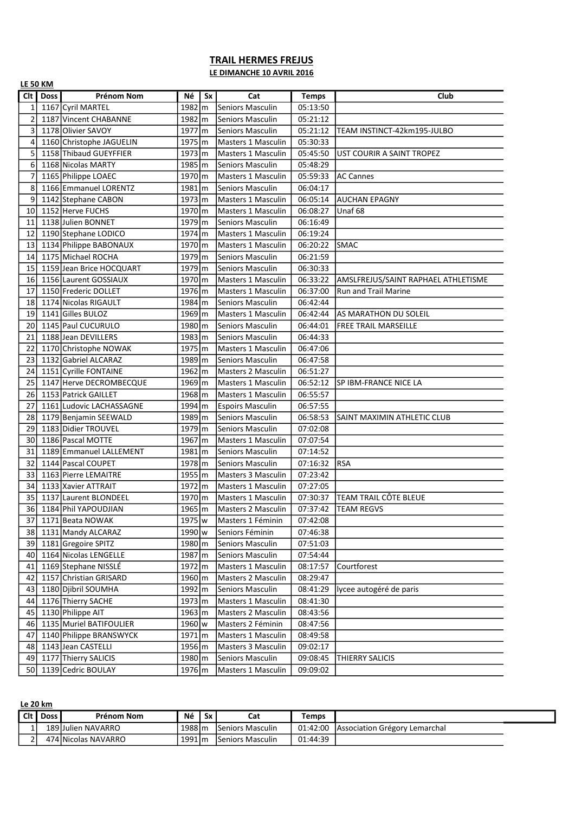## TRAIL HERMES FREJUS

LE DIMANCHE 10 AVRIL 2016

|                | <b>LE 50 KM</b> |                          |                      |    |                           |              |                                     |  |  |  |  |  |
|----------------|-----------------|--------------------------|----------------------|----|---------------------------|--------------|-------------------------------------|--|--|--|--|--|
| Clt I          | <b>Doss</b>     | <b>Prénom Nom</b>        | Νé                   | Sx | Cat                       | <b>Temps</b> | Club                                |  |  |  |  |  |
| $\mathbf{1}$   |                 | 1167 Cyril MARTEL        | $1982 \, \mathrm{m}$ |    | <b>Seniors Masculin</b>   | 05:13:50     |                                     |  |  |  |  |  |
| $\overline{2}$ |                 | 1187 Vincent CHABANNE    | 1982 m               |    | <b>Seniors Masculin</b>   | 05:21:12     |                                     |  |  |  |  |  |
| 3              |                 | 1178 Olivier SAVOY       | $1977 \, \rm{m}$     |    | Seniors Masculin          | 05:21:12     | TEAM INSTINCT-42km195-JULBO         |  |  |  |  |  |
| 4              |                 | 1160 Christophe JAGUELIN | $1975 \, \rm{fm}$    |    | Masters 1 Masculin        | 05:30:33     |                                     |  |  |  |  |  |
| 5              |                 | 1158 Thibaud GUEYFFIER   | $1973 \text{m}$      |    | Masters 1 Masculin        | 05:45:50     | UST COURIR A SAINT TROPEZ           |  |  |  |  |  |
| 6              |                 | 1168 Nicolas MARTY       | $1985 \, \rm{fm}$    |    | Seniors Masculin          | 05:48:29     |                                     |  |  |  |  |  |
| $\overline{7}$ |                 | 1165 Philippe LOAEC      | 1970 m               |    | <b>Masters 1 Masculin</b> | 05:59:33     | AC Cannes                           |  |  |  |  |  |
| 8              |                 | 1166 Emmanuel LORENTZ    | 1981 m               |    | Seniors Masculin          | 06:04:17     |                                     |  |  |  |  |  |
| 9              |                 | 1142 Stephane CABON      | 1973 m               |    | <b>Masters 1 Masculin</b> | 06:05:14     | AUCHAN EPAGNY                       |  |  |  |  |  |
| 10             |                 | 1152 Herve FUCHS         | $1970 \text{m}$      |    | <b>Masters 1 Masculin</b> | 06:08:27     | Unaf 68                             |  |  |  |  |  |
| 11             |                 | 1138 Julien BONNET       | $1979$ $\rm{m}$      |    | <b>Seniors Masculin</b>   | 06:16:49     |                                     |  |  |  |  |  |
| 12             |                 | 1190 Stephane LODICO     | $1974 \, \rm{m}$     |    | Masters 1 Masculin        | 06:19:24     |                                     |  |  |  |  |  |
| 13             |                 | 1134 Philippe BABONAUX   | $1970 \text{m}$      |    | Masters 1 Masculin        | 06:20:22     | <b>SMAC</b>                         |  |  |  |  |  |
| 14             |                 | 1175 Michael ROCHA       | $1979$ $\rm{m}$      |    | Seniors Masculin          | 06:21:59     |                                     |  |  |  |  |  |
| 15             |                 | 1159 Jean Brice HOCQUART | $1979$ $\rm{m}$      |    | <b>Seniors Masculin</b>   | 06:30:33     |                                     |  |  |  |  |  |
| 16             |                 | 1156 Laurent GOSSIAUX    | $1970 \, \mathrm{m}$ |    | <b>Masters 1 Masculin</b> | 06:33:22     | AMSLFREJUS/SAINT RAPHAEL ATHLETISME |  |  |  |  |  |
| 17             |                 | 1150 Frederic DOLLET     | $1976$ $\rm{fm}$     |    | Masters 1 Masculin        | 06:37:00     | <b>Run and Trail Marine</b>         |  |  |  |  |  |
| 18             |                 | 1174 Nicolas RIGAULT     | $1984 \, \rm{m}$     |    | <b>Seniors Masculin</b>   | 06:42:44     |                                     |  |  |  |  |  |
| 19             |                 | 1141 Gilles BULOZ        | $1969 \, \mathrm{m}$ |    | Masters 1 Masculin        | 06:42:44     | AS MARATHON DU SOLEIL               |  |  |  |  |  |
| 20             |                 | 1145 Paul CUCURULO       | $1980 \, \mathrm{m}$ |    | <b>Seniors Masculin</b>   | 06:44:01     | <b>FREE TRAIL MARSEILLE</b>         |  |  |  |  |  |
| 21             |                 | 1188 Jean DEVILLERS      | 1983 m               |    | <b>Seniors Masculin</b>   | 06:44:33     |                                     |  |  |  |  |  |
| 22             |                 | 1170 Christophe NOWAK    | $1975 \, \rm{m}$     |    | <b>Masters 1 Masculin</b> | 06:47:06     |                                     |  |  |  |  |  |
| 23             |                 | 1132 Gabriel ALCARAZ     | 1989 m               |    | <b>Seniors Masculin</b>   | 06:47:58     |                                     |  |  |  |  |  |
| 24             |                 | 1151 Cyrille FONTAINE    | 1962 m               |    | <b>Masters 2 Masculin</b> | 06:51:27     |                                     |  |  |  |  |  |
| 25             |                 | 1147 Herve DECROMBECQUE  | 1969 m               |    | <b>Masters 1 Masculin</b> | 06:52:12     | SP IBM-FRANCE NICE LA               |  |  |  |  |  |
| 26             |                 | 1153 Patrick GAILLET     | $1968 \text{m}$      |    | <b>Masters 1 Masculin</b> | 06:55:57     |                                     |  |  |  |  |  |
| 27             |                 | 1161 Ludovic LACHASSAGNE | $1994 \, \rm{m}$     |    | <b>Espoirs Masculin</b>   | 06:57:55     |                                     |  |  |  |  |  |
| 28             |                 | 1179 Benjamin SEEWALD    | $1989 \, \rm{m}$     |    | Seniors Masculin          | 06:58:53     | SAINT MAXIMIN ATHLETIC CLUB         |  |  |  |  |  |
| 29             |                 | 1183 Didier TROUVEL      | $1979$ m             |    | <b>Seniors Masculin</b>   | 07:02:08     |                                     |  |  |  |  |  |
| 30             |                 | 1186 Pascal MOTTE        | $1967 \, \rm{m}$     |    | Masters 1 Masculin        | 07:07:54     |                                     |  |  |  |  |  |
| 31             |                 | 1189 Emmanuel LALLEMENT  | $1981$ m             |    | <b>Seniors Masculin</b>   | 07:14:52     |                                     |  |  |  |  |  |
| 32             |                 | 1144 Pascal COUPET       | $1978$ m             |    | <b>Seniors Masculin</b>   | 07:16:32     | IRSA                                |  |  |  |  |  |
| 33             |                 | 1163 Pierre LEMAITRE     | $1955 \, \rm{fm}$    |    | <b>Masters 3 Masculin</b> | 07:23:42     |                                     |  |  |  |  |  |
| 34             |                 | 1133 Xavier ATTRAIT      | $1972 \text{ m}$     |    | <b>Masters 1 Masculin</b> | 07:27:05     |                                     |  |  |  |  |  |
| 35             |                 | 1137 Laurent BLONDEEL    | 1970 m               |    | Masters 1 Masculin        | 07:30:37     | <b>TEAM TRAIL CÔTE BLEUE</b>        |  |  |  |  |  |
| 36 l           |                 | 1184 Phil YAPOUDJIAN     | $1965 \, m$          |    | Masters 2 Masculin        |              | 07:37:42   TEAM REGVS               |  |  |  |  |  |
| 37             |                 | 1171 Beata NOWAK         | 1975   w             |    | Masters 1 Féminin         | 07:42:08     |                                     |  |  |  |  |  |
| 38             |                 | 1131 Mandy ALCARAZ       | 1990 w               |    | Seniors Féminin           | 07:46:38     |                                     |  |  |  |  |  |
| 39             |                 | 1181 Gregoire SPITZ      | 1980 m               |    | Seniors Masculin          | 07:51:03     |                                     |  |  |  |  |  |
| 40             |                 | 1164 Nicolas LENGELLE    | 1987 m               |    | Seniors Masculin          | 07:54:44     |                                     |  |  |  |  |  |
| 41             |                 | 1169 Stephane NISSLÉ     | 1972 m               |    | Masters 1 Masculin        | 08:17:57     | Courtforest                         |  |  |  |  |  |
| 42             |                 | 1157 Christian GRISARD   | 1960 m               |    | Masters 2 Masculin        | 08:29:47     |                                     |  |  |  |  |  |
| 43             |                 | 1180 Djibril SOUMHA      | 1992 m               |    | Seniors Masculin          | 08:41:29     | lycee autogéré de paris             |  |  |  |  |  |
| 44             |                 | 1176 Thierry SACHE       | 1973 m               |    | Masters 1 Masculin        | 08:41:30     |                                     |  |  |  |  |  |
| 45             |                 | 1130 Philippe AIT        | 1963 m               |    | Masters 2 Masculin        | 08:43:56     |                                     |  |  |  |  |  |
| 46             |                 | 1135 Muriel BATIFOULIER  | 1960 w               |    | Masters 2 Féminin         | 08:47:56     |                                     |  |  |  |  |  |
| 47             |                 | 1140 Philippe BRANSWYCK  | 1971   m             |    | Masters 1 Masculin        | 08:49:58     |                                     |  |  |  |  |  |
| 48             |                 | 1143 Jean CASTELLI       | 1956 m               |    | Masters 3 Masculin        | 09:02:17     |                                     |  |  |  |  |  |
| 49             |                 | 1177 Thierry SALICIS     | 1980 m               |    | Seniors Masculin          | 09:08:45     | THIERRY SALICIS                     |  |  |  |  |  |
| 50 l           |                 | 1139 Cedric BOULAY       | 1976 m               |    | Masters 1 Masculin        | 09:09:02     |                                     |  |  |  |  |  |

Le 20 km

| Cit I | Doss I | Prénom Nom          | Νé      | <b>Sx</b> | Cat                           | <b>Femps</b> |                               |
|-------|--------|---------------------|---------|-----------|-------------------------------|--------------|-------------------------------|
|       |        | 189 Julien NAVARRO  | 1988 m  |           | 'Seniors Masculin             | 01:42:00     | Association Grégory Lemarchal |
|       |        | 474 Nicolas NAVARRO | 1991 lm |           | <sup>1</sup> Seniors Masculin | 01:44:39     |                               |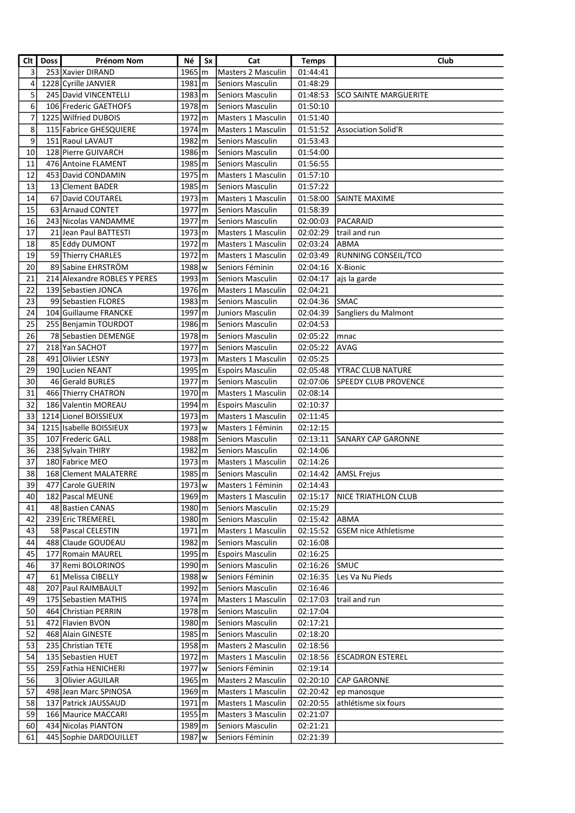| Clt             | <b>Doss</b> | Prénom Nom                   | Né                   | Sx | Cat                       | <b>Temps</b> | Club                         |
|-----------------|-------------|------------------------------|----------------------|----|---------------------------|--------------|------------------------------|
| 3               |             | 253 Xavier DIRAND            | $1965 \, \rm{km}$    |    | Masters 2 Masculin        | 01:44:41     |                              |
| 4               |             | 1228 Cyrille JANVIER         | $1981$ m             |    | <b>Seniors Masculin</b>   | 01:48:29     |                              |
| 5               |             | 245 David VINCENTELLI        | $1983 \, \mathrm{m}$ |    | <b>Seniors Masculin</b>   | 01:48:53     | <b>SCO SAINTE MARGUERITE</b> |
| 6               |             | 106 Frederic GAETHOFS        | $1978$ $\rm{m}$      |    | <b>Seniors Masculin</b>   | 01:50:10     |                              |
| 7               |             | 1225 Wilfried DUBOIS         | $1972 \, \mathrm{m}$ |    | Masters 1 Masculin        | 01:51:40     |                              |
|                 |             |                              |                      |    |                           |              |                              |
| 8               |             | 115 Fabrice GHESQUIERE       | $1974 \, \rm{m}$     |    | <b>Masters 1 Masculin</b> | 01:51:52     | Association Solid'R          |
| 9               |             | 151 Raoul LAVAUT             | 1982 m               |    | Seniors Masculin          | 01:53:43     |                              |
| 10              |             | 128 Pierre GUIVARCH          | 1986 m               |    | <b>Seniors Masculin</b>   | 01:54:00     |                              |
| 11              |             | 476 Antoine FLAMENT          | $1985 \, \mathrm{m}$ |    | Seniors Masculin          | 01:56:55     |                              |
| 12              |             | 453 David CONDAMIN           | 1975 m               |    | <b>Masters 1 Masculin</b> | 01:57:10     |                              |
| 13              |             | 13 Clement BADER             | 1985 m               |    | Seniors Masculin          | 01:57:22     |                              |
| 14              |             | 67 David COUTAREL            | 1973 m               |    | <b>Masters 1 Masculin</b> | 01:58:00     | SAINTE MAXIME                |
| 15              |             | 63 Arnaud CONTET             | 1977 m               |    | <b>Seniors Masculin</b>   | 01:58:39     |                              |
| 16              |             | 243 Nicolas VANDAMME         | $1977$ $\rm{m}$      |    | Seniors Masculin          | 02:00:03     | PACARAID                     |
| 17              |             | 21 Jean Paul BATTESTI        | 1973 m               |    | Masters 1 Masculin        | 02:02:29     | trail and run                |
| 18              |             | 85 Eddy DUMONT               | 1972 m               |    | <b>Masters 1 Masculin</b> | 02:03:24     | <b>ABMA</b>                  |
| 19              |             | 59 Thierry CHARLES           | $1972 \mathrm{Im}$   |    | <b>Masters 1 Masculin</b> | 02:03:49     | <b>RUNNING CONSEIL/TCO</b>   |
| 20              |             | 89 Sabine EHRSTRÖM           | 1988 w               |    | Seniors Féminin           | 02:04:16     | X-Bionic                     |
| 21              |             | 214 Alexandre ROBLES Y PERES | 1993 m               |    | <b>Seniors Masculin</b>   | 02:04:17     | ajs la garde                 |
| 22              |             | 139 Sebastien JONCA          | 1976 m               |    | Masters 1 Masculin        | 02:04:21     |                              |
| 23              |             | 99 Sebastien FLORES          | 1983 m               |    | <b>Seniors Masculin</b>   | 02:04:36     | <b>SMAC</b>                  |
| 24              |             | 104 Guillaume FRANCKE        | $1997 \, \mathrm{m}$ |    | Juniors Masculin          | 02:04:39     | Sangliers du Malmont         |
| 25              |             | 255 Benjamin TOURDOT         | 1986 m               |    | <b>Seniors Masculin</b>   | 02:04:53     |                              |
| 26              |             | 78 Sebastien DEMENGE         | 1978 m               |    | <b>Seniors Masculin</b>   | 02:05:22     | mnac                         |
| 27              |             | 218 Yan SACHOT               | $1977$ $\rm{m}$      |    | Seniors Masculin          | 02:05:22     | AVAG                         |
| 28              |             |                              |                      |    |                           |              |                              |
|                 |             | 491 Olivier LESNY            | 1973 m               |    | Masters 1 Masculin        | 02:05:25     |                              |
| 29              |             | 190 Lucien NEANT             | 1995 m               |    | <b>Espoirs Masculin</b>   | 02:05:48     | <b>YTRAC CLUB NATURE</b>     |
| 30              |             | 46 Gerald BURLES             | $1977$ $\rm{m}$      |    | Seniors Masculin          | 02:07:06     | <b>SPEEDY CLUB PROVENCE</b>  |
| 31              |             | 466 Thierry CHATRON          | $1970 \, \mathrm{m}$ |    | Masters 1 Masculin        | 02:08:14     |                              |
| 32              |             | 186 Valentin MOREAU          | 1994 m               |    | <b>Espoirs Masculin</b>   | 02:10:37     |                              |
| 33              |             | 1214 Lionel BOISSIEUX        | $1973 \, \mathrm{m}$ |    | <b>Masters 1 Masculin</b> | 02:11:45     |                              |
| 34              |             | 1215 Isabelle BOISSIEUX      | $1973$ w             |    | Masters 1 Féminin         | 02:12:15     |                              |
| 35              |             | 107 Frederic GALL            | 1988 m               |    | <b>Seniors Masculin</b>   | 02:13:11     | <b>SANARY CAP GARONNE</b>    |
| 36              |             | 238 Sylvain THIRY            | 1982 m               |    | <b>Seniors Masculin</b>   | 02:14:06     |                              |
| 37              |             | 180 Fabrice MEO              | $1973 \, \text{m}$   |    | Masters 1 Masculin        | 02:14:26     |                              |
| 38              |             | 168 Clement MALATERRE        | 1985 m               |    | Seniors Masculin          | 02:14:42     | <b>AMSL</b> Frejus           |
| $\overline{39}$ |             | 477 Carole GUERIN            | 1973   w             |    | Masters 1 Féminin         | 02:14:43     |                              |
| 40              |             | 182   Pascal MEUNE           | 1969 m               |    | Masters 1 Masculin        | 02:15:17     | INICE TRIATHLON CLUB         |
| 41              |             | 48 Bastien CANAS             | 1980 m               |    | Seniors Masculin          | 02:15:29     |                              |
| 42              |             | 239 Eric TREMEREL            | 1980 m               |    | Seniors Masculin          | 02:15:42     | <b>ABMA</b>                  |
| 43              |             | 58 Pascal CELESTIN           | 1971 m               |    | Masters 1 Masculin        | 02:15:52     | <b>GSEM</b> nice Athletisme  |
| 44              |             | 488 Claude GOUDEAU           | 1982 m               |    | Seniors Masculin          | 02:16:08     |                              |
| 45              | 177         | Romain MAUREL                | 1995 m               |    | <b>Espoirs Masculin</b>   | 02:16:25     |                              |
| 46              |             | 37 Remi BOLORINOS            | 1990 m               |    | Seniors Masculin          | 02:16:26     | <b>SMUC</b>                  |
| 47              |             | 61 Melissa CIBELLY           | 1988 w               |    | Seniors Féminin           | 02:16:35     | Les Va Nu Pieds              |
| 48              |             | 207 Paul RAIMBAULT           | 1992 m               |    | Seniors Masculin          | 02:16:46     |                              |
| 49              |             | 175 Sebastien MATHIS         | $1974 \, \rm{m}$     |    | Masters 1 Masculin        | 02:17:03     | trail and run                |
| 50              |             | 464 Christian PERRIN         |                      |    | Seniors Masculin          |              |                              |
|                 |             |                              | 1978 m               |    |                           | 02:17:04     |                              |
| 51              |             | 472 Flavien BVON             | 1980 m               |    | Seniors Masculin          | 02:17:21     |                              |
| 52              |             | 468 Alain GINESTE            | 1985 m               |    | Seniors Masculin          | 02:18:20     |                              |
| 53              |             | 235 Christian TETE           | 1958 m               |    | Masters 2 Masculin        | 02:18:56     |                              |
| 54              |             | 135 Sebastien HUET           | 1972 m               |    | Masters 1 Masculin        | 02:18:56     | ESCADRON ESTEREL             |
| 55              |             | 259 Fathia HENICHERI         | 1977 w               |    | Seniors Féminin           | 02:19:14     |                              |
| 56              |             | 3 Olivier AGUILAR            | $1965 \, \rm{m}$     |    | Masters 2 Masculin        | 02:20:10     | <b>CAP GARONNE</b>           |
| 57              |             | 498 Jean Marc SPINOSA        | $1969 \, \rm{m}$     |    | Masters 1 Masculin        | 02:20:42     | ep manosque                  |
| 58              |             | 137 Patrick JAUSSAUD         | $1971 \, \mathrm{m}$ |    | Masters 1 Masculin        | 02:20:55     | athlétisme six fours         |
| 59              |             | 166 Maurice MACCARI          | 1955 m               |    | <b>Masters 3 Masculin</b> | 02:21:07     |                              |
| 60              |             | 434 Nicolas PIANTON          | 1989 m               |    | Seniors Masculin          | 02:21:21     |                              |
| 61              |             | 445 Sophie DARDOUILLET       | 1987 w               |    | Seniors Féminin           | 02:21:39     |                              |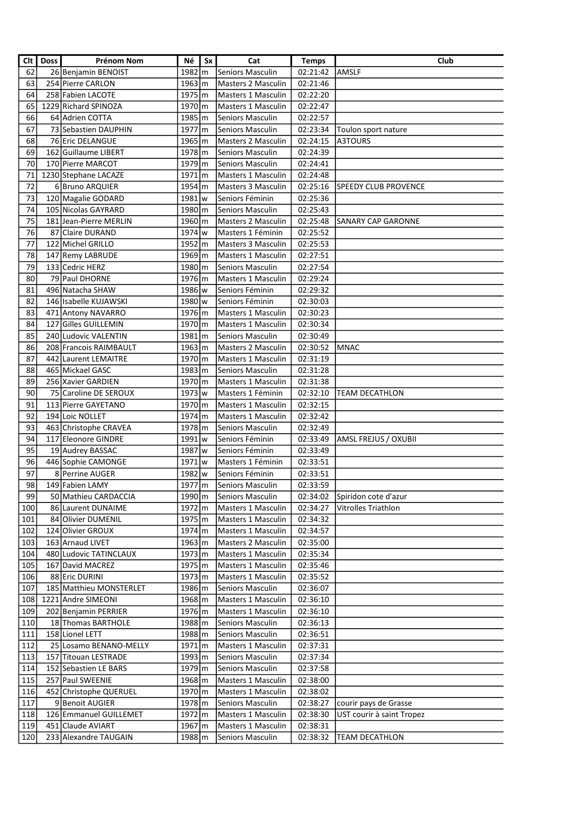| 62<br>Seniors Masculin<br>26 Benjamin BENOIST<br>1982 m<br>02:21:42<br><b>AMSLF</b><br>63<br>254 Pierre CARLON<br>$1963 \, \rm{km}$<br>02:21:46<br><b>Masters 2 Masculin</b><br>64<br>258 Fabien LACOTE<br>1975 m<br>Masters 1 Masculin<br>02:22:20<br>65<br>1229 Richard SPINOZA<br>1970 m<br><b>Masters 1 Masculin</b><br>02:22:47<br>66<br>64 Adrien COTTA<br>1985 m<br>Seniors Masculin<br>02:22:57<br>67<br>73 Sebastien DAUPHIN<br>1977 m<br>Seniors Masculin<br>02:23:34<br>Toulon sport nature<br>68<br>76 Eric DELANGUE<br>$1965 \, \rm{m}$<br>02:24:15<br>A3TOURS<br>Masters 2 Masculin<br>69<br>162 Guillaume LIBERT<br>1978 m<br>Seniors Masculin<br>02:24:39<br>70<br>170 Pierre MARCOT<br>1979 m<br>Seniors Masculin<br>02:24:41<br>71<br>1230 Stephane LACAZE<br>$1971 \, m$<br>Masters 1 Masculin<br>02:24:48<br>72<br>$1954 \, \mathrm{m}$<br>6 Bruno ARQUIER<br>Masters 3 Masculin<br>02:25:16<br><b>SPEEDY CLUB PROVENCE</b><br>73<br>120 Magalie GODARD<br>1981 w<br>Seniors Féminin<br>02:25:36<br>74<br>105 Nicolas GAYRARD<br>1980 m<br><b>Seniors Masculin</b><br>02:25:43<br>75<br>181 Jean-Pierre MERLIN<br>1960 m<br>02:25:48<br>Masters 2 Masculin<br> SANARY CAP GARONNE<br>76<br>1974 w<br>87 Claire DURAND<br>Masters 1 Féminin<br>02:25:52<br>77<br>1952 m<br>122 Michel GRILLO<br>02:25:53<br>Masters 3 Masculin<br>78<br>$1969$ m<br>147 Remy LABRUDE<br>Masters 1 Masculin<br>02:27:51<br>79<br>133 Cedric HERZ<br>1980 m<br>Seniors Masculin<br>02:27:54<br>80<br>79 Paul DHORNE<br>1976 m<br>02:29:24<br>Masters 1 Masculin<br>81<br>496 Natacha SHAW<br>1986 w<br>Seniors Féminin<br>02:29:32<br>82<br>146 Isabelle KUJAWSKI<br>1980 w<br>Seniors Féminin<br>02:30:03<br>83<br>1976 m<br>02:30:23<br>471 Antony NAVARRO<br>Masters 1 Masculin<br>84<br>127 Gilles GUILLEMIN<br>$1970 \, \mathrm{m}$<br>Masters 1 Masculin<br>02:30:34<br>85<br>240 Ludovic VALENTIN<br>$1981$ m<br><b>Seniors Masculin</b><br>02:30:49<br>86<br>1963 m<br><b>MNAC</b><br>208 Francois RAIMBAULT<br>Masters 2 Masculin<br>02:30:52<br>87<br>1970 m<br>442 Laurent LEMAITRE<br>Masters 1 Masculin<br>02:31:19<br>88<br>465 Mickael GASC<br>$1983 \, \mathrm{m}$<br>Seniors Masculin<br>02:31:28<br>89<br>256 Xavier GARDIEN<br>1970 m<br>Masters 1 Masculin<br>02:31:38<br>90<br>1973   w<br>75 Caroline DE SEROUX<br>Masters 1 Féminin<br>02:32:10<br><b>TEAM DECATHLON</b><br>91<br>113 Pierre GAYETANO<br>1970 m<br>02:32:15<br>Masters 1 Masculin<br>92<br>194 Loic NOLLET<br>1974 m<br>02:32:42<br>Masters 1 Masculin<br>93<br>463 Christophe CRAVEA<br>1978 m<br>Seniors Masculin<br>02:32:49<br>94<br>117 Eleonore GINDRE<br>1991 w<br>Seniors Féminin<br>02:33:49<br>AMSL FREJUS / OXUBII<br>95<br>1987 w<br>Seniors Féminin<br>02:33:49<br>19 Audrey BASSAC<br>96<br>446 Sophie CAMONGE<br>1971 w<br>Masters 1 Féminin<br>02:33:51<br>97<br>8 Perrine AUGER<br>1982 w<br>Seniors Féminin<br>02:33:51<br>98<br>149 Fabien LAMY<br>$1977 \, \text{m}$<br>Seniors Masculin<br>02:33:59<br>99<br>50 Mathieu CARDACCIA<br>1990 m<br>Seniors Masculin<br>02:34:02<br>Spiridon cote d'azur<br>100<br>86 Laurent DUNAIME<br>1972 m<br>Masters 1 Masculin<br>02:34:27<br>Vitrolles Triathlon<br>101<br>84 Olivier DUMENIL<br>1975 m<br>Masters 1 Masculin<br>02:34:32<br>102<br>124 Olivier GROUX<br>1974 m<br>Masters 1 Masculin<br>02:34:57<br>103<br>163 Arnaud LIVET<br>$1963 \, \rm{km}$<br>Masters 2 Masculin<br>02:35:00<br>104<br>480 Ludovic TATINCLAUX<br>1973 m<br>02:35:34<br>Masters 1 Masculin<br>105<br>167 David MACREZ<br>1975 m<br>Masters 1 Masculin<br>02:35:46<br>106<br>88 Eric DURINI<br>1973 m<br>Masters 1 Masculin<br>02:35:52<br>107<br>185 Matthieu MONSTERLET<br>1986 m<br>Seniors Masculin<br>02:36:07<br>108<br>1221 Andre SIMEONI<br>1968 m<br>Masters 1 Masculin<br>02:36:10<br>109<br>202 Benjamin PERRIER<br>1976 m<br>Masters 1 Masculin<br>02:36:10<br>110<br>18 Thomas BARTHOLE<br>1988 m<br>Seniors Masculin<br>02:36:13<br>111<br>158 Lionel LETT<br>1988 m<br>Seniors Masculin<br>02:36:51<br>112<br>25 Losamo BENANO-MELLY<br>Masters 1 Masculin<br>02:37:31<br>1971 m<br>113<br>157 Titouan LESTRADE<br>$1993 \, \text{m}$<br>Seniors Masculin<br>02:37:34<br>114<br>Seniors Masculin<br>152 Sebastien LE BARS<br>1979 m<br>02:37:58<br>115<br>257   Paul SWEENIE<br>1968 m<br>Masters 1 Masculin<br>02:38:00<br>452 Christophe QUERUEL<br>116<br>1970 m<br>Masters 1 Masculin<br>02:38:02<br>117<br>9 Benoit AUGIER<br>1978 m<br>Seniors Masculin<br>02:38:27<br>courir pays de Grasse<br>118<br>126 Emmanuel GUILLEMET<br>02:38:30<br>1972 m<br>Masters 1 Masculin<br>UST courir à saint Tropez<br>119<br>451 Claude AVIART<br>02:38:31<br>1967 m<br>Masters 1 Masculin<br>120<br>233 Alexandre TAUGAIN<br>1988 m<br>Seniors Masculin<br>02:38:32<br><b>TEAM DECATHLON</b> | Clt I | Doss | <b>Prénom Nom</b> | Νé | Sx | Cat | <b>Temps</b> | Club |
|---------------------------------------------------------------------------------------------------------------------------------------------------------------------------------------------------------------------------------------------------------------------------------------------------------------------------------------------------------------------------------------------------------------------------------------------------------------------------------------------------------------------------------------------------------------------------------------------------------------------------------------------------------------------------------------------------------------------------------------------------------------------------------------------------------------------------------------------------------------------------------------------------------------------------------------------------------------------------------------------------------------------------------------------------------------------------------------------------------------------------------------------------------------------------------------------------------------------------------------------------------------------------------------------------------------------------------------------------------------------------------------------------------------------------------------------------------------------------------------------------------------------------------------------------------------------------------------------------------------------------------------------------------------------------------------------------------------------------------------------------------------------------------------------------------------------------------------------------------------------------------------------------------------------------------------------------------------------------------------------------------------------------------------------------------------------------------------------------------------------------------------------------------------------------------------------------------------------------------------------------------------------------------------------------------------------------------------------------------------------------------------------------------------------------------------------------------------------------------------------------------------------------------------------------------------------------------------------------------------------------------------------------------------------------------------------------------------------------------------------------------------------------------------------------------------------------------------------------------------------------------------------------------------------------------------------------------------------------------------------------------------------------------------------------------------------------------------------------------------------------------------------------------------------------------------------------------------------------------------------------------------------------------------------------------------------------------------------------------------------------------------------------------------------------------------------------------------------------------------------------------------------------------------------------------------------------------------------------------------------------------------------------------------------------------------------------------------------------------------------------------------------------------------------------------------------------------------------------------------------------------------------------------------------------------------------------------------------------------------------------------------------------------------------------------------------------------------------------------------------------------------------------------------------------------------------------------------------------------------------------------------------------------------------------------------------------------------------------------------------------------------------------------------------------------------------------------------------------------------------------------------------------------------------------------------------------------------------------------------------------------------------------------------------------------------------------------------------------------------------------------------------------------------------------------------------------------------------|-------|------|-------------------|----|----|-----|--------------|------|
|                                                                                                                                                                                                                                                                                                                                                                                                                                                                                                                                                                                                                                                                                                                                                                                                                                                                                                                                                                                                                                                                                                                                                                                                                                                                                                                                                                                                                                                                                                                                                                                                                                                                                                                                                                                                                                                                                                                                                                                                                                                                                                                                                                                                                                                                                                                                                                                                                                                                                                                                                                                                                                                                                                                                                                                                                                                                                                                                                                                                                                                                                                                                                                                                                                                                                                                                                                                                                                                                                                                                                                                                                                                                                                                                                                                                                                                                                                                                                                                                                                                                                                                                                                                                                                                                                                                                                                                                                                                                                                                                                                                                                                                                                                                                                                                                                                             |       |      |                   |    |    |     |              |      |
|                                                                                                                                                                                                                                                                                                                                                                                                                                                                                                                                                                                                                                                                                                                                                                                                                                                                                                                                                                                                                                                                                                                                                                                                                                                                                                                                                                                                                                                                                                                                                                                                                                                                                                                                                                                                                                                                                                                                                                                                                                                                                                                                                                                                                                                                                                                                                                                                                                                                                                                                                                                                                                                                                                                                                                                                                                                                                                                                                                                                                                                                                                                                                                                                                                                                                                                                                                                                                                                                                                                                                                                                                                                                                                                                                                                                                                                                                                                                                                                                                                                                                                                                                                                                                                                                                                                                                                                                                                                                                                                                                                                                                                                                                                                                                                                                                                             |       |      |                   |    |    |     |              |      |
|                                                                                                                                                                                                                                                                                                                                                                                                                                                                                                                                                                                                                                                                                                                                                                                                                                                                                                                                                                                                                                                                                                                                                                                                                                                                                                                                                                                                                                                                                                                                                                                                                                                                                                                                                                                                                                                                                                                                                                                                                                                                                                                                                                                                                                                                                                                                                                                                                                                                                                                                                                                                                                                                                                                                                                                                                                                                                                                                                                                                                                                                                                                                                                                                                                                                                                                                                                                                                                                                                                                                                                                                                                                                                                                                                                                                                                                                                                                                                                                                                                                                                                                                                                                                                                                                                                                                                                                                                                                                                                                                                                                                                                                                                                                                                                                                                                             |       |      |                   |    |    |     |              |      |
|                                                                                                                                                                                                                                                                                                                                                                                                                                                                                                                                                                                                                                                                                                                                                                                                                                                                                                                                                                                                                                                                                                                                                                                                                                                                                                                                                                                                                                                                                                                                                                                                                                                                                                                                                                                                                                                                                                                                                                                                                                                                                                                                                                                                                                                                                                                                                                                                                                                                                                                                                                                                                                                                                                                                                                                                                                                                                                                                                                                                                                                                                                                                                                                                                                                                                                                                                                                                                                                                                                                                                                                                                                                                                                                                                                                                                                                                                                                                                                                                                                                                                                                                                                                                                                                                                                                                                                                                                                                                                                                                                                                                                                                                                                                                                                                                                                             |       |      |                   |    |    |     |              |      |
|                                                                                                                                                                                                                                                                                                                                                                                                                                                                                                                                                                                                                                                                                                                                                                                                                                                                                                                                                                                                                                                                                                                                                                                                                                                                                                                                                                                                                                                                                                                                                                                                                                                                                                                                                                                                                                                                                                                                                                                                                                                                                                                                                                                                                                                                                                                                                                                                                                                                                                                                                                                                                                                                                                                                                                                                                                                                                                                                                                                                                                                                                                                                                                                                                                                                                                                                                                                                                                                                                                                                                                                                                                                                                                                                                                                                                                                                                                                                                                                                                                                                                                                                                                                                                                                                                                                                                                                                                                                                                                                                                                                                                                                                                                                                                                                                                                             |       |      |                   |    |    |     |              |      |
|                                                                                                                                                                                                                                                                                                                                                                                                                                                                                                                                                                                                                                                                                                                                                                                                                                                                                                                                                                                                                                                                                                                                                                                                                                                                                                                                                                                                                                                                                                                                                                                                                                                                                                                                                                                                                                                                                                                                                                                                                                                                                                                                                                                                                                                                                                                                                                                                                                                                                                                                                                                                                                                                                                                                                                                                                                                                                                                                                                                                                                                                                                                                                                                                                                                                                                                                                                                                                                                                                                                                                                                                                                                                                                                                                                                                                                                                                                                                                                                                                                                                                                                                                                                                                                                                                                                                                                                                                                                                                                                                                                                                                                                                                                                                                                                                                                             |       |      |                   |    |    |     |              |      |
|                                                                                                                                                                                                                                                                                                                                                                                                                                                                                                                                                                                                                                                                                                                                                                                                                                                                                                                                                                                                                                                                                                                                                                                                                                                                                                                                                                                                                                                                                                                                                                                                                                                                                                                                                                                                                                                                                                                                                                                                                                                                                                                                                                                                                                                                                                                                                                                                                                                                                                                                                                                                                                                                                                                                                                                                                                                                                                                                                                                                                                                                                                                                                                                                                                                                                                                                                                                                                                                                                                                                                                                                                                                                                                                                                                                                                                                                                                                                                                                                                                                                                                                                                                                                                                                                                                                                                                                                                                                                                                                                                                                                                                                                                                                                                                                                                                             |       |      |                   |    |    |     |              |      |
|                                                                                                                                                                                                                                                                                                                                                                                                                                                                                                                                                                                                                                                                                                                                                                                                                                                                                                                                                                                                                                                                                                                                                                                                                                                                                                                                                                                                                                                                                                                                                                                                                                                                                                                                                                                                                                                                                                                                                                                                                                                                                                                                                                                                                                                                                                                                                                                                                                                                                                                                                                                                                                                                                                                                                                                                                                                                                                                                                                                                                                                                                                                                                                                                                                                                                                                                                                                                                                                                                                                                                                                                                                                                                                                                                                                                                                                                                                                                                                                                                                                                                                                                                                                                                                                                                                                                                                                                                                                                                                                                                                                                                                                                                                                                                                                                                                             |       |      |                   |    |    |     |              |      |
|                                                                                                                                                                                                                                                                                                                                                                                                                                                                                                                                                                                                                                                                                                                                                                                                                                                                                                                                                                                                                                                                                                                                                                                                                                                                                                                                                                                                                                                                                                                                                                                                                                                                                                                                                                                                                                                                                                                                                                                                                                                                                                                                                                                                                                                                                                                                                                                                                                                                                                                                                                                                                                                                                                                                                                                                                                                                                                                                                                                                                                                                                                                                                                                                                                                                                                                                                                                                                                                                                                                                                                                                                                                                                                                                                                                                                                                                                                                                                                                                                                                                                                                                                                                                                                                                                                                                                                                                                                                                                                                                                                                                                                                                                                                                                                                                                                             |       |      |                   |    |    |     |              |      |
|                                                                                                                                                                                                                                                                                                                                                                                                                                                                                                                                                                                                                                                                                                                                                                                                                                                                                                                                                                                                                                                                                                                                                                                                                                                                                                                                                                                                                                                                                                                                                                                                                                                                                                                                                                                                                                                                                                                                                                                                                                                                                                                                                                                                                                                                                                                                                                                                                                                                                                                                                                                                                                                                                                                                                                                                                                                                                                                                                                                                                                                                                                                                                                                                                                                                                                                                                                                                                                                                                                                                                                                                                                                                                                                                                                                                                                                                                                                                                                                                                                                                                                                                                                                                                                                                                                                                                                                                                                                                                                                                                                                                                                                                                                                                                                                                                                             |       |      |                   |    |    |     |              |      |
|                                                                                                                                                                                                                                                                                                                                                                                                                                                                                                                                                                                                                                                                                                                                                                                                                                                                                                                                                                                                                                                                                                                                                                                                                                                                                                                                                                                                                                                                                                                                                                                                                                                                                                                                                                                                                                                                                                                                                                                                                                                                                                                                                                                                                                                                                                                                                                                                                                                                                                                                                                                                                                                                                                                                                                                                                                                                                                                                                                                                                                                                                                                                                                                                                                                                                                                                                                                                                                                                                                                                                                                                                                                                                                                                                                                                                                                                                                                                                                                                                                                                                                                                                                                                                                                                                                                                                                                                                                                                                                                                                                                                                                                                                                                                                                                                                                             |       |      |                   |    |    |     |              |      |
|                                                                                                                                                                                                                                                                                                                                                                                                                                                                                                                                                                                                                                                                                                                                                                                                                                                                                                                                                                                                                                                                                                                                                                                                                                                                                                                                                                                                                                                                                                                                                                                                                                                                                                                                                                                                                                                                                                                                                                                                                                                                                                                                                                                                                                                                                                                                                                                                                                                                                                                                                                                                                                                                                                                                                                                                                                                                                                                                                                                                                                                                                                                                                                                                                                                                                                                                                                                                                                                                                                                                                                                                                                                                                                                                                                                                                                                                                                                                                                                                                                                                                                                                                                                                                                                                                                                                                                                                                                                                                                                                                                                                                                                                                                                                                                                                                                             |       |      |                   |    |    |     |              |      |
|                                                                                                                                                                                                                                                                                                                                                                                                                                                                                                                                                                                                                                                                                                                                                                                                                                                                                                                                                                                                                                                                                                                                                                                                                                                                                                                                                                                                                                                                                                                                                                                                                                                                                                                                                                                                                                                                                                                                                                                                                                                                                                                                                                                                                                                                                                                                                                                                                                                                                                                                                                                                                                                                                                                                                                                                                                                                                                                                                                                                                                                                                                                                                                                                                                                                                                                                                                                                                                                                                                                                                                                                                                                                                                                                                                                                                                                                                                                                                                                                                                                                                                                                                                                                                                                                                                                                                                                                                                                                                                                                                                                                                                                                                                                                                                                                                                             |       |      |                   |    |    |     |              |      |
|                                                                                                                                                                                                                                                                                                                                                                                                                                                                                                                                                                                                                                                                                                                                                                                                                                                                                                                                                                                                                                                                                                                                                                                                                                                                                                                                                                                                                                                                                                                                                                                                                                                                                                                                                                                                                                                                                                                                                                                                                                                                                                                                                                                                                                                                                                                                                                                                                                                                                                                                                                                                                                                                                                                                                                                                                                                                                                                                                                                                                                                                                                                                                                                                                                                                                                                                                                                                                                                                                                                                                                                                                                                                                                                                                                                                                                                                                                                                                                                                                                                                                                                                                                                                                                                                                                                                                                                                                                                                                                                                                                                                                                                                                                                                                                                                                                             |       |      |                   |    |    |     |              |      |
|                                                                                                                                                                                                                                                                                                                                                                                                                                                                                                                                                                                                                                                                                                                                                                                                                                                                                                                                                                                                                                                                                                                                                                                                                                                                                                                                                                                                                                                                                                                                                                                                                                                                                                                                                                                                                                                                                                                                                                                                                                                                                                                                                                                                                                                                                                                                                                                                                                                                                                                                                                                                                                                                                                                                                                                                                                                                                                                                                                                                                                                                                                                                                                                                                                                                                                                                                                                                                                                                                                                                                                                                                                                                                                                                                                                                                                                                                                                                                                                                                                                                                                                                                                                                                                                                                                                                                                                                                                                                                                                                                                                                                                                                                                                                                                                                                                             |       |      |                   |    |    |     |              |      |
|                                                                                                                                                                                                                                                                                                                                                                                                                                                                                                                                                                                                                                                                                                                                                                                                                                                                                                                                                                                                                                                                                                                                                                                                                                                                                                                                                                                                                                                                                                                                                                                                                                                                                                                                                                                                                                                                                                                                                                                                                                                                                                                                                                                                                                                                                                                                                                                                                                                                                                                                                                                                                                                                                                                                                                                                                                                                                                                                                                                                                                                                                                                                                                                                                                                                                                                                                                                                                                                                                                                                                                                                                                                                                                                                                                                                                                                                                                                                                                                                                                                                                                                                                                                                                                                                                                                                                                                                                                                                                                                                                                                                                                                                                                                                                                                                                                             |       |      |                   |    |    |     |              |      |
|                                                                                                                                                                                                                                                                                                                                                                                                                                                                                                                                                                                                                                                                                                                                                                                                                                                                                                                                                                                                                                                                                                                                                                                                                                                                                                                                                                                                                                                                                                                                                                                                                                                                                                                                                                                                                                                                                                                                                                                                                                                                                                                                                                                                                                                                                                                                                                                                                                                                                                                                                                                                                                                                                                                                                                                                                                                                                                                                                                                                                                                                                                                                                                                                                                                                                                                                                                                                                                                                                                                                                                                                                                                                                                                                                                                                                                                                                                                                                                                                                                                                                                                                                                                                                                                                                                                                                                                                                                                                                                                                                                                                                                                                                                                                                                                                                                             |       |      |                   |    |    |     |              |      |
|                                                                                                                                                                                                                                                                                                                                                                                                                                                                                                                                                                                                                                                                                                                                                                                                                                                                                                                                                                                                                                                                                                                                                                                                                                                                                                                                                                                                                                                                                                                                                                                                                                                                                                                                                                                                                                                                                                                                                                                                                                                                                                                                                                                                                                                                                                                                                                                                                                                                                                                                                                                                                                                                                                                                                                                                                                                                                                                                                                                                                                                                                                                                                                                                                                                                                                                                                                                                                                                                                                                                                                                                                                                                                                                                                                                                                                                                                                                                                                                                                                                                                                                                                                                                                                                                                                                                                                                                                                                                                                                                                                                                                                                                                                                                                                                                                                             |       |      |                   |    |    |     |              |      |
|                                                                                                                                                                                                                                                                                                                                                                                                                                                                                                                                                                                                                                                                                                                                                                                                                                                                                                                                                                                                                                                                                                                                                                                                                                                                                                                                                                                                                                                                                                                                                                                                                                                                                                                                                                                                                                                                                                                                                                                                                                                                                                                                                                                                                                                                                                                                                                                                                                                                                                                                                                                                                                                                                                                                                                                                                                                                                                                                                                                                                                                                                                                                                                                                                                                                                                                                                                                                                                                                                                                                                                                                                                                                                                                                                                                                                                                                                                                                                                                                                                                                                                                                                                                                                                                                                                                                                                                                                                                                                                                                                                                                                                                                                                                                                                                                                                             |       |      |                   |    |    |     |              |      |
|                                                                                                                                                                                                                                                                                                                                                                                                                                                                                                                                                                                                                                                                                                                                                                                                                                                                                                                                                                                                                                                                                                                                                                                                                                                                                                                                                                                                                                                                                                                                                                                                                                                                                                                                                                                                                                                                                                                                                                                                                                                                                                                                                                                                                                                                                                                                                                                                                                                                                                                                                                                                                                                                                                                                                                                                                                                                                                                                                                                                                                                                                                                                                                                                                                                                                                                                                                                                                                                                                                                                                                                                                                                                                                                                                                                                                                                                                                                                                                                                                                                                                                                                                                                                                                                                                                                                                                                                                                                                                                                                                                                                                                                                                                                                                                                                                                             |       |      |                   |    |    |     |              |      |
|                                                                                                                                                                                                                                                                                                                                                                                                                                                                                                                                                                                                                                                                                                                                                                                                                                                                                                                                                                                                                                                                                                                                                                                                                                                                                                                                                                                                                                                                                                                                                                                                                                                                                                                                                                                                                                                                                                                                                                                                                                                                                                                                                                                                                                                                                                                                                                                                                                                                                                                                                                                                                                                                                                                                                                                                                                                                                                                                                                                                                                                                                                                                                                                                                                                                                                                                                                                                                                                                                                                                                                                                                                                                                                                                                                                                                                                                                                                                                                                                                                                                                                                                                                                                                                                                                                                                                                                                                                                                                                                                                                                                                                                                                                                                                                                                                                             |       |      |                   |    |    |     |              |      |
|                                                                                                                                                                                                                                                                                                                                                                                                                                                                                                                                                                                                                                                                                                                                                                                                                                                                                                                                                                                                                                                                                                                                                                                                                                                                                                                                                                                                                                                                                                                                                                                                                                                                                                                                                                                                                                                                                                                                                                                                                                                                                                                                                                                                                                                                                                                                                                                                                                                                                                                                                                                                                                                                                                                                                                                                                                                                                                                                                                                                                                                                                                                                                                                                                                                                                                                                                                                                                                                                                                                                                                                                                                                                                                                                                                                                                                                                                                                                                                                                                                                                                                                                                                                                                                                                                                                                                                                                                                                                                                                                                                                                                                                                                                                                                                                                                                             |       |      |                   |    |    |     |              |      |
|                                                                                                                                                                                                                                                                                                                                                                                                                                                                                                                                                                                                                                                                                                                                                                                                                                                                                                                                                                                                                                                                                                                                                                                                                                                                                                                                                                                                                                                                                                                                                                                                                                                                                                                                                                                                                                                                                                                                                                                                                                                                                                                                                                                                                                                                                                                                                                                                                                                                                                                                                                                                                                                                                                                                                                                                                                                                                                                                                                                                                                                                                                                                                                                                                                                                                                                                                                                                                                                                                                                                                                                                                                                                                                                                                                                                                                                                                                                                                                                                                                                                                                                                                                                                                                                                                                                                                                                                                                                                                                                                                                                                                                                                                                                                                                                                                                             |       |      |                   |    |    |     |              |      |
|                                                                                                                                                                                                                                                                                                                                                                                                                                                                                                                                                                                                                                                                                                                                                                                                                                                                                                                                                                                                                                                                                                                                                                                                                                                                                                                                                                                                                                                                                                                                                                                                                                                                                                                                                                                                                                                                                                                                                                                                                                                                                                                                                                                                                                                                                                                                                                                                                                                                                                                                                                                                                                                                                                                                                                                                                                                                                                                                                                                                                                                                                                                                                                                                                                                                                                                                                                                                                                                                                                                                                                                                                                                                                                                                                                                                                                                                                                                                                                                                                                                                                                                                                                                                                                                                                                                                                                                                                                                                                                                                                                                                                                                                                                                                                                                                                                             |       |      |                   |    |    |     |              |      |
|                                                                                                                                                                                                                                                                                                                                                                                                                                                                                                                                                                                                                                                                                                                                                                                                                                                                                                                                                                                                                                                                                                                                                                                                                                                                                                                                                                                                                                                                                                                                                                                                                                                                                                                                                                                                                                                                                                                                                                                                                                                                                                                                                                                                                                                                                                                                                                                                                                                                                                                                                                                                                                                                                                                                                                                                                                                                                                                                                                                                                                                                                                                                                                                                                                                                                                                                                                                                                                                                                                                                                                                                                                                                                                                                                                                                                                                                                                                                                                                                                                                                                                                                                                                                                                                                                                                                                                                                                                                                                                                                                                                                                                                                                                                                                                                                                                             |       |      |                   |    |    |     |              |      |
|                                                                                                                                                                                                                                                                                                                                                                                                                                                                                                                                                                                                                                                                                                                                                                                                                                                                                                                                                                                                                                                                                                                                                                                                                                                                                                                                                                                                                                                                                                                                                                                                                                                                                                                                                                                                                                                                                                                                                                                                                                                                                                                                                                                                                                                                                                                                                                                                                                                                                                                                                                                                                                                                                                                                                                                                                                                                                                                                                                                                                                                                                                                                                                                                                                                                                                                                                                                                                                                                                                                                                                                                                                                                                                                                                                                                                                                                                                                                                                                                                                                                                                                                                                                                                                                                                                                                                                                                                                                                                                                                                                                                                                                                                                                                                                                                                                             |       |      |                   |    |    |     |              |      |
|                                                                                                                                                                                                                                                                                                                                                                                                                                                                                                                                                                                                                                                                                                                                                                                                                                                                                                                                                                                                                                                                                                                                                                                                                                                                                                                                                                                                                                                                                                                                                                                                                                                                                                                                                                                                                                                                                                                                                                                                                                                                                                                                                                                                                                                                                                                                                                                                                                                                                                                                                                                                                                                                                                                                                                                                                                                                                                                                                                                                                                                                                                                                                                                                                                                                                                                                                                                                                                                                                                                                                                                                                                                                                                                                                                                                                                                                                                                                                                                                                                                                                                                                                                                                                                                                                                                                                                                                                                                                                                                                                                                                                                                                                                                                                                                                                                             |       |      |                   |    |    |     |              |      |
|                                                                                                                                                                                                                                                                                                                                                                                                                                                                                                                                                                                                                                                                                                                                                                                                                                                                                                                                                                                                                                                                                                                                                                                                                                                                                                                                                                                                                                                                                                                                                                                                                                                                                                                                                                                                                                                                                                                                                                                                                                                                                                                                                                                                                                                                                                                                                                                                                                                                                                                                                                                                                                                                                                                                                                                                                                                                                                                                                                                                                                                                                                                                                                                                                                                                                                                                                                                                                                                                                                                                                                                                                                                                                                                                                                                                                                                                                                                                                                                                                                                                                                                                                                                                                                                                                                                                                                                                                                                                                                                                                                                                                                                                                                                                                                                                                                             |       |      |                   |    |    |     |              |      |
|                                                                                                                                                                                                                                                                                                                                                                                                                                                                                                                                                                                                                                                                                                                                                                                                                                                                                                                                                                                                                                                                                                                                                                                                                                                                                                                                                                                                                                                                                                                                                                                                                                                                                                                                                                                                                                                                                                                                                                                                                                                                                                                                                                                                                                                                                                                                                                                                                                                                                                                                                                                                                                                                                                                                                                                                                                                                                                                                                                                                                                                                                                                                                                                                                                                                                                                                                                                                                                                                                                                                                                                                                                                                                                                                                                                                                                                                                                                                                                                                                                                                                                                                                                                                                                                                                                                                                                                                                                                                                                                                                                                                                                                                                                                                                                                                                                             |       |      |                   |    |    |     |              |      |
|                                                                                                                                                                                                                                                                                                                                                                                                                                                                                                                                                                                                                                                                                                                                                                                                                                                                                                                                                                                                                                                                                                                                                                                                                                                                                                                                                                                                                                                                                                                                                                                                                                                                                                                                                                                                                                                                                                                                                                                                                                                                                                                                                                                                                                                                                                                                                                                                                                                                                                                                                                                                                                                                                                                                                                                                                                                                                                                                                                                                                                                                                                                                                                                                                                                                                                                                                                                                                                                                                                                                                                                                                                                                                                                                                                                                                                                                                                                                                                                                                                                                                                                                                                                                                                                                                                                                                                                                                                                                                                                                                                                                                                                                                                                                                                                                                                             |       |      |                   |    |    |     |              |      |
|                                                                                                                                                                                                                                                                                                                                                                                                                                                                                                                                                                                                                                                                                                                                                                                                                                                                                                                                                                                                                                                                                                                                                                                                                                                                                                                                                                                                                                                                                                                                                                                                                                                                                                                                                                                                                                                                                                                                                                                                                                                                                                                                                                                                                                                                                                                                                                                                                                                                                                                                                                                                                                                                                                                                                                                                                                                                                                                                                                                                                                                                                                                                                                                                                                                                                                                                                                                                                                                                                                                                                                                                                                                                                                                                                                                                                                                                                                                                                                                                                                                                                                                                                                                                                                                                                                                                                                                                                                                                                                                                                                                                                                                                                                                                                                                                                                             |       |      |                   |    |    |     |              |      |
|                                                                                                                                                                                                                                                                                                                                                                                                                                                                                                                                                                                                                                                                                                                                                                                                                                                                                                                                                                                                                                                                                                                                                                                                                                                                                                                                                                                                                                                                                                                                                                                                                                                                                                                                                                                                                                                                                                                                                                                                                                                                                                                                                                                                                                                                                                                                                                                                                                                                                                                                                                                                                                                                                                                                                                                                                                                                                                                                                                                                                                                                                                                                                                                                                                                                                                                                                                                                                                                                                                                                                                                                                                                                                                                                                                                                                                                                                                                                                                                                                                                                                                                                                                                                                                                                                                                                                                                                                                                                                                                                                                                                                                                                                                                                                                                                                                             |       |      |                   |    |    |     |              |      |
|                                                                                                                                                                                                                                                                                                                                                                                                                                                                                                                                                                                                                                                                                                                                                                                                                                                                                                                                                                                                                                                                                                                                                                                                                                                                                                                                                                                                                                                                                                                                                                                                                                                                                                                                                                                                                                                                                                                                                                                                                                                                                                                                                                                                                                                                                                                                                                                                                                                                                                                                                                                                                                                                                                                                                                                                                                                                                                                                                                                                                                                                                                                                                                                                                                                                                                                                                                                                                                                                                                                                                                                                                                                                                                                                                                                                                                                                                                                                                                                                                                                                                                                                                                                                                                                                                                                                                                                                                                                                                                                                                                                                                                                                                                                                                                                                                                             |       |      |                   |    |    |     |              |      |
|                                                                                                                                                                                                                                                                                                                                                                                                                                                                                                                                                                                                                                                                                                                                                                                                                                                                                                                                                                                                                                                                                                                                                                                                                                                                                                                                                                                                                                                                                                                                                                                                                                                                                                                                                                                                                                                                                                                                                                                                                                                                                                                                                                                                                                                                                                                                                                                                                                                                                                                                                                                                                                                                                                                                                                                                                                                                                                                                                                                                                                                                                                                                                                                                                                                                                                                                                                                                                                                                                                                                                                                                                                                                                                                                                                                                                                                                                                                                                                                                                                                                                                                                                                                                                                                                                                                                                                                                                                                                                                                                                                                                                                                                                                                                                                                                                                             |       |      |                   |    |    |     |              |      |
|                                                                                                                                                                                                                                                                                                                                                                                                                                                                                                                                                                                                                                                                                                                                                                                                                                                                                                                                                                                                                                                                                                                                                                                                                                                                                                                                                                                                                                                                                                                                                                                                                                                                                                                                                                                                                                                                                                                                                                                                                                                                                                                                                                                                                                                                                                                                                                                                                                                                                                                                                                                                                                                                                                                                                                                                                                                                                                                                                                                                                                                                                                                                                                                                                                                                                                                                                                                                                                                                                                                                                                                                                                                                                                                                                                                                                                                                                                                                                                                                                                                                                                                                                                                                                                                                                                                                                                                                                                                                                                                                                                                                                                                                                                                                                                                                                                             |       |      |                   |    |    |     |              |      |
|                                                                                                                                                                                                                                                                                                                                                                                                                                                                                                                                                                                                                                                                                                                                                                                                                                                                                                                                                                                                                                                                                                                                                                                                                                                                                                                                                                                                                                                                                                                                                                                                                                                                                                                                                                                                                                                                                                                                                                                                                                                                                                                                                                                                                                                                                                                                                                                                                                                                                                                                                                                                                                                                                                                                                                                                                                                                                                                                                                                                                                                                                                                                                                                                                                                                                                                                                                                                                                                                                                                                                                                                                                                                                                                                                                                                                                                                                                                                                                                                                                                                                                                                                                                                                                                                                                                                                                                                                                                                                                                                                                                                                                                                                                                                                                                                                                             |       |      |                   |    |    |     |              |      |
|                                                                                                                                                                                                                                                                                                                                                                                                                                                                                                                                                                                                                                                                                                                                                                                                                                                                                                                                                                                                                                                                                                                                                                                                                                                                                                                                                                                                                                                                                                                                                                                                                                                                                                                                                                                                                                                                                                                                                                                                                                                                                                                                                                                                                                                                                                                                                                                                                                                                                                                                                                                                                                                                                                                                                                                                                                                                                                                                                                                                                                                                                                                                                                                                                                                                                                                                                                                                                                                                                                                                                                                                                                                                                                                                                                                                                                                                                                                                                                                                                                                                                                                                                                                                                                                                                                                                                                                                                                                                                                                                                                                                                                                                                                                                                                                                                                             |       |      |                   |    |    |     |              |      |
|                                                                                                                                                                                                                                                                                                                                                                                                                                                                                                                                                                                                                                                                                                                                                                                                                                                                                                                                                                                                                                                                                                                                                                                                                                                                                                                                                                                                                                                                                                                                                                                                                                                                                                                                                                                                                                                                                                                                                                                                                                                                                                                                                                                                                                                                                                                                                                                                                                                                                                                                                                                                                                                                                                                                                                                                                                                                                                                                                                                                                                                                                                                                                                                                                                                                                                                                                                                                                                                                                                                                                                                                                                                                                                                                                                                                                                                                                                                                                                                                                                                                                                                                                                                                                                                                                                                                                                                                                                                                                                                                                                                                                                                                                                                                                                                                                                             |       |      |                   |    |    |     |              |      |
|                                                                                                                                                                                                                                                                                                                                                                                                                                                                                                                                                                                                                                                                                                                                                                                                                                                                                                                                                                                                                                                                                                                                                                                                                                                                                                                                                                                                                                                                                                                                                                                                                                                                                                                                                                                                                                                                                                                                                                                                                                                                                                                                                                                                                                                                                                                                                                                                                                                                                                                                                                                                                                                                                                                                                                                                                                                                                                                                                                                                                                                                                                                                                                                                                                                                                                                                                                                                                                                                                                                                                                                                                                                                                                                                                                                                                                                                                                                                                                                                                                                                                                                                                                                                                                                                                                                                                                                                                                                                                                                                                                                                                                                                                                                                                                                                                                             |       |      |                   |    |    |     |              |      |
|                                                                                                                                                                                                                                                                                                                                                                                                                                                                                                                                                                                                                                                                                                                                                                                                                                                                                                                                                                                                                                                                                                                                                                                                                                                                                                                                                                                                                                                                                                                                                                                                                                                                                                                                                                                                                                                                                                                                                                                                                                                                                                                                                                                                                                                                                                                                                                                                                                                                                                                                                                                                                                                                                                                                                                                                                                                                                                                                                                                                                                                                                                                                                                                                                                                                                                                                                                                                                                                                                                                                                                                                                                                                                                                                                                                                                                                                                                                                                                                                                                                                                                                                                                                                                                                                                                                                                                                                                                                                                                                                                                                                                                                                                                                                                                                                                                             |       |      |                   |    |    |     |              |      |
|                                                                                                                                                                                                                                                                                                                                                                                                                                                                                                                                                                                                                                                                                                                                                                                                                                                                                                                                                                                                                                                                                                                                                                                                                                                                                                                                                                                                                                                                                                                                                                                                                                                                                                                                                                                                                                                                                                                                                                                                                                                                                                                                                                                                                                                                                                                                                                                                                                                                                                                                                                                                                                                                                                                                                                                                                                                                                                                                                                                                                                                                                                                                                                                                                                                                                                                                                                                                                                                                                                                                                                                                                                                                                                                                                                                                                                                                                                                                                                                                                                                                                                                                                                                                                                                                                                                                                                                                                                                                                                                                                                                                                                                                                                                                                                                                                                             |       |      |                   |    |    |     |              |      |
|                                                                                                                                                                                                                                                                                                                                                                                                                                                                                                                                                                                                                                                                                                                                                                                                                                                                                                                                                                                                                                                                                                                                                                                                                                                                                                                                                                                                                                                                                                                                                                                                                                                                                                                                                                                                                                                                                                                                                                                                                                                                                                                                                                                                                                                                                                                                                                                                                                                                                                                                                                                                                                                                                                                                                                                                                                                                                                                                                                                                                                                                                                                                                                                                                                                                                                                                                                                                                                                                                                                                                                                                                                                                                                                                                                                                                                                                                                                                                                                                                                                                                                                                                                                                                                                                                                                                                                                                                                                                                                                                                                                                                                                                                                                                                                                                                                             |       |      |                   |    |    |     |              |      |
|                                                                                                                                                                                                                                                                                                                                                                                                                                                                                                                                                                                                                                                                                                                                                                                                                                                                                                                                                                                                                                                                                                                                                                                                                                                                                                                                                                                                                                                                                                                                                                                                                                                                                                                                                                                                                                                                                                                                                                                                                                                                                                                                                                                                                                                                                                                                                                                                                                                                                                                                                                                                                                                                                                                                                                                                                                                                                                                                                                                                                                                                                                                                                                                                                                                                                                                                                                                                                                                                                                                                                                                                                                                                                                                                                                                                                                                                                                                                                                                                                                                                                                                                                                                                                                                                                                                                                                                                                                                                                                                                                                                                                                                                                                                                                                                                                                             |       |      |                   |    |    |     |              |      |
|                                                                                                                                                                                                                                                                                                                                                                                                                                                                                                                                                                                                                                                                                                                                                                                                                                                                                                                                                                                                                                                                                                                                                                                                                                                                                                                                                                                                                                                                                                                                                                                                                                                                                                                                                                                                                                                                                                                                                                                                                                                                                                                                                                                                                                                                                                                                                                                                                                                                                                                                                                                                                                                                                                                                                                                                                                                                                                                                                                                                                                                                                                                                                                                                                                                                                                                                                                                                                                                                                                                                                                                                                                                                                                                                                                                                                                                                                                                                                                                                                                                                                                                                                                                                                                                                                                                                                                                                                                                                                                                                                                                                                                                                                                                                                                                                                                             |       |      |                   |    |    |     |              |      |
|                                                                                                                                                                                                                                                                                                                                                                                                                                                                                                                                                                                                                                                                                                                                                                                                                                                                                                                                                                                                                                                                                                                                                                                                                                                                                                                                                                                                                                                                                                                                                                                                                                                                                                                                                                                                                                                                                                                                                                                                                                                                                                                                                                                                                                                                                                                                                                                                                                                                                                                                                                                                                                                                                                                                                                                                                                                                                                                                                                                                                                                                                                                                                                                                                                                                                                                                                                                                                                                                                                                                                                                                                                                                                                                                                                                                                                                                                                                                                                                                                                                                                                                                                                                                                                                                                                                                                                                                                                                                                                                                                                                                                                                                                                                                                                                                                                             |       |      |                   |    |    |     |              |      |
|                                                                                                                                                                                                                                                                                                                                                                                                                                                                                                                                                                                                                                                                                                                                                                                                                                                                                                                                                                                                                                                                                                                                                                                                                                                                                                                                                                                                                                                                                                                                                                                                                                                                                                                                                                                                                                                                                                                                                                                                                                                                                                                                                                                                                                                                                                                                                                                                                                                                                                                                                                                                                                                                                                                                                                                                                                                                                                                                                                                                                                                                                                                                                                                                                                                                                                                                                                                                                                                                                                                                                                                                                                                                                                                                                                                                                                                                                                                                                                                                                                                                                                                                                                                                                                                                                                                                                                                                                                                                                                                                                                                                                                                                                                                                                                                                                                             |       |      |                   |    |    |     |              |      |
|                                                                                                                                                                                                                                                                                                                                                                                                                                                                                                                                                                                                                                                                                                                                                                                                                                                                                                                                                                                                                                                                                                                                                                                                                                                                                                                                                                                                                                                                                                                                                                                                                                                                                                                                                                                                                                                                                                                                                                                                                                                                                                                                                                                                                                                                                                                                                                                                                                                                                                                                                                                                                                                                                                                                                                                                                                                                                                                                                                                                                                                                                                                                                                                                                                                                                                                                                                                                                                                                                                                                                                                                                                                                                                                                                                                                                                                                                                                                                                                                                                                                                                                                                                                                                                                                                                                                                                                                                                                                                                                                                                                                                                                                                                                                                                                                                                             |       |      |                   |    |    |     |              |      |
|                                                                                                                                                                                                                                                                                                                                                                                                                                                                                                                                                                                                                                                                                                                                                                                                                                                                                                                                                                                                                                                                                                                                                                                                                                                                                                                                                                                                                                                                                                                                                                                                                                                                                                                                                                                                                                                                                                                                                                                                                                                                                                                                                                                                                                                                                                                                                                                                                                                                                                                                                                                                                                                                                                                                                                                                                                                                                                                                                                                                                                                                                                                                                                                                                                                                                                                                                                                                                                                                                                                                                                                                                                                                                                                                                                                                                                                                                                                                                                                                                                                                                                                                                                                                                                                                                                                                                                                                                                                                                                                                                                                                                                                                                                                                                                                                                                             |       |      |                   |    |    |     |              |      |
|                                                                                                                                                                                                                                                                                                                                                                                                                                                                                                                                                                                                                                                                                                                                                                                                                                                                                                                                                                                                                                                                                                                                                                                                                                                                                                                                                                                                                                                                                                                                                                                                                                                                                                                                                                                                                                                                                                                                                                                                                                                                                                                                                                                                                                                                                                                                                                                                                                                                                                                                                                                                                                                                                                                                                                                                                                                                                                                                                                                                                                                                                                                                                                                                                                                                                                                                                                                                                                                                                                                                                                                                                                                                                                                                                                                                                                                                                                                                                                                                                                                                                                                                                                                                                                                                                                                                                                                                                                                                                                                                                                                                                                                                                                                                                                                                                                             |       |      |                   |    |    |     |              |      |
|                                                                                                                                                                                                                                                                                                                                                                                                                                                                                                                                                                                                                                                                                                                                                                                                                                                                                                                                                                                                                                                                                                                                                                                                                                                                                                                                                                                                                                                                                                                                                                                                                                                                                                                                                                                                                                                                                                                                                                                                                                                                                                                                                                                                                                                                                                                                                                                                                                                                                                                                                                                                                                                                                                                                                                                                                                                                                                                                                                                                                                                                                                                                                                                                                                                                                                                                                                                                                                                                                                                                                                                                                                                                                                                                                                                                                                                                                                                                                                                                                                                                                                                                                                                                                                                                                                                                                                                                                                                                                                                                                                                                                                                                                                                                                                                                                                             |       |      |                   |    |    |     |              |      |
|                                                                                                                                                                                                                                                                                                                                                                                                                                                                                                                                                                                                                                                                                                                                                                                                                                                                                                                                                                                                                                                                                                                                                                                                                                                                                                                                                                                                                                                                                                                                                                                                                                                                                                                                                                                                                                                                                                                                                                                                                                                                                                                                                                                                                                                                                                                                                                                                                                                                                                                                                                                                                                                                                                                                                                                                                                                                                                                                                                                                                                                                                                                                                                                                                                                                                                                                                                                                                                                                                                                                                                                                                                                                                                                                                                                                                                                                                                                                                                                                                                                                                                                                                                                                                                                                                                                                                                                                                                                                                                                                                                                                                                                                                                                                                                                                                                             |       |      |                   |    |    |     |              |      |
|                                                                                                                                                                                                                                                                                                                                                                                                                                                                                                                                                                                                                                                                                                                                                                                                                                                                                                                                                                                                                                                                                                                                                                                                                                                                                                                                                                                                                                                                                                                                                                                                                                                                                                                                                                                                                                                                                                                                                                                                                                                                                                                                                                                                                                                                                                                                                                                                                                                                                                                                                                                                                                                                                                                                                                                                                                                                                                                                                                                                                                                                                                                                                                                                                                                                                                                                                                                                                                                                                                                                                                                                                                                                                                                                                                                                                                                                                                                                                                                                                                                                                                                                                                                                                                                                                                                                                                                                                                                                                                                                                                                                                                                                                                                                                                                                                                             |       |      |                   |    |    |     |              |      |
|                                                                                                                                                                                                                                                                                                                                                                                                                                                                                                                                                                                                                                                                                                                                                                                                                                                                                                                                                                                                                                                                                                                                                                                                                                                                                                                                                                                                                                                                                                                                                                                                                                                                                                                                                                                                                                                                                                                                                                                                                                                                                                                                                                                                                                                                                                                                                                                                                                                                                                                                                                                                                                                                                                                                                                                                                                                                                                                                                                                                                                                                                                                                                                                                                                                                                                                                                                                                                                                                                                                                                                                                                                                                                                                                                                                                                                                                                                                                                                                                                                                                                                                                                                                                                                                                                                                                                                                                                                                                                                                                                                                                                                                                                                                                                                                                                                             |       |      |                   |    |    |     |              |      |
|                                                                                                                                                                                                                                                                                                                                                                                                                                                                                                                                                                                                                                                                                                                                                                                                                                                                                                                                                                                                                                                                                                                                                                                                                                                                                                                                                                                                                                                                                                                                                                                                                                                                                                                                                                                                                                                                                                                                                                                                                                                                                                                                                                                                                                                                                                                                                                                                                                                                                                                                                                                                                                                                                                                                                                                                                                                                                                                                                                                                                                                                                                                                                                                                                                                                                                                                                                                                                                                                                                                                                                                                                                                                                                                                                                                                                                                                                                                                                                                                                                                                                                                                                                                                                                                                                                                                                                                                                                                                                                                                                                                                                                                                                                                                                                                                                                             |       |      |                   |    |    |     |              |      |
|                                                                                                                                                                                                                                                                                                                                                                                                                                                                                                                                                                                                                                                                                                                                                                                                                                                                                                                                                                                                                                                                                                                                                                                                                                                                                                                                                                                                                                                                                                                                                                                                                                                                                                                                                                                                                                                                                                                                                                                                                                                                                                                                                                                                                                                                                                                                                                                                                                                                                                                                                                                                                                                                                                                                                                                                                                                                                                                                                                                                                                                                                                                                                                                                                                                                                                                                                                                                                                                                                                                                                                                                                                                                                                                                                                                                                                                                                                                                                                                                                                                                                                                                                                                                                                                                                                                                                                                                                                                                                                                                                                                                                                                                                                                                                                                                                                             |       |      |                   |    |    |     |              |      |
|                                                                                                                                                                                                                                                                                                                                                                                                                                                                                                                                                                                                                                                                                                                                                                                                                                                                                                                                                                                                                                                                                                                                                                                                                                                                                                                                                                                                                                                                                                                                                                                                                                                                                                                                                                                                                                                                                                                                                                                                                                                                                                                                                                                                                                                                                                                                                                                                                                                                                                                                                                                                                                                                                                                                                                                                                                                                                                                                                                                                                                                                                                                                                                                                                                                                                                                                                                                                                                                                                                                                                                                                                                                                                                                                                                                                                                                                                                                                                                                                                                                                                                                                                                                                                                                                                                                                                                                                                                                                                                                                                                                                                                                                                                                                                                                                                                             |       |      |                   |    |    |     |              |      |
|                                                                                                                                                                                                                                                                                                                                                                                                                                                                                                                                                                                                                                                                                                                                                                                                                                                                                                                                                                                                                                                                                                                                                                                                                                                                                                                                                                                                                                                                                                                                                                                                                                                                                                                                                                                                                                                                                                                                                                                                                                                                                                                                                                                                                                                                                                                                                                                                                                                                                                                                                                                                                                                                                                                                                                                                                                                                                                                                                                                                                                                                                                                                                                                                                                                                                                                                                                                                                                                                                                                                                                                                                                                                                                                                                                                                                                                                                                                                                                                                                                                                                                                                                                                                                                                                                                                                                                                                                                                                                                                                                                                                                                                                                                                                                                                                                                             |       |      |                   |    |    |     |              |      |
|                                                                                                                                                                                                                                                                                                                                                                                                                                                                                                                                                                                                                                                                                                                                                                                                                                                                                                                                                                                                                                                                                                                                                                                                                                                                                                                                                                                                                                                                                                                                                                                                                                                                                                                                                                                                                                                                                                                                                                                                                                                                                                                                                                                                                                                                                                                                                                                                                                                                                                                                                                                                                                                                                                                                                                                                                                                                                                                                                                                                                                                                                                                                                                                                                                                                                                                                                                                                                                                                                                                                                                                                                                                                                                                                                                                                                                                                                                                                                                                                                                                                                                                                                                                                                                                                                                                                                                                                                                                                                                                                                                                                                                                                                                                                                                                                                                             |       |      |                   |    |    |     |              |      |
|                                                                                                                                                                                                                                                                                                                                                                                                                                                                                                                                                                                                                                                                                                                                                                                                                                                                                                                                                                                                                                                                                                                                                                                                                                                                                                                                                                                                                                                                                                                                                                                                                                                                                                                                                                                                                                                                                                                                                                                                                                                                                                                                                                                                                                                                                                                                                                                                                                                                                                                                                                                                                                                                                                                                                                                                                                                                                                                                                                                                                                                                                                                                                                                                                                                                                                                                                                                                                                                                                                                                                                                                                                                                                                                                                                                                                                                                                                                                                                                                                                                                                                                                                                                                                                                                                                                                                                                                                                                                                                                                                                                                                                                                                                                                                                                                                                             |       |      |                   |    |    |     |              |      |
|                                                                                                                                                                                                                                                                                                                                                                                                                                                                                                                                                                                                                                                                                                                                                                                                                                                                                                                                                                                                                                                                                                                                                                                                                                                                                                                                                                                                                                                                                                                                                                                                                                                                                                                                                                                                                                                                                                                                                                                                                                                                                                                                                                                                                                                                                                                                                                                                                                                                                                                                                                                                                                                                                                                                                                                                                                                                                                                                                                                                                                                                                                                                                                                                                                                                                                                                                                                                                                                                                                                                                                                                                                                                                                                                                                                                                                                                                                                                                                                                                                                                                                                                                                                                                                                                                                                                                                                                                                                                                                                                                                                                                                                                                                                                                                                                                                             |       |      |                   |    |    |     |              |      |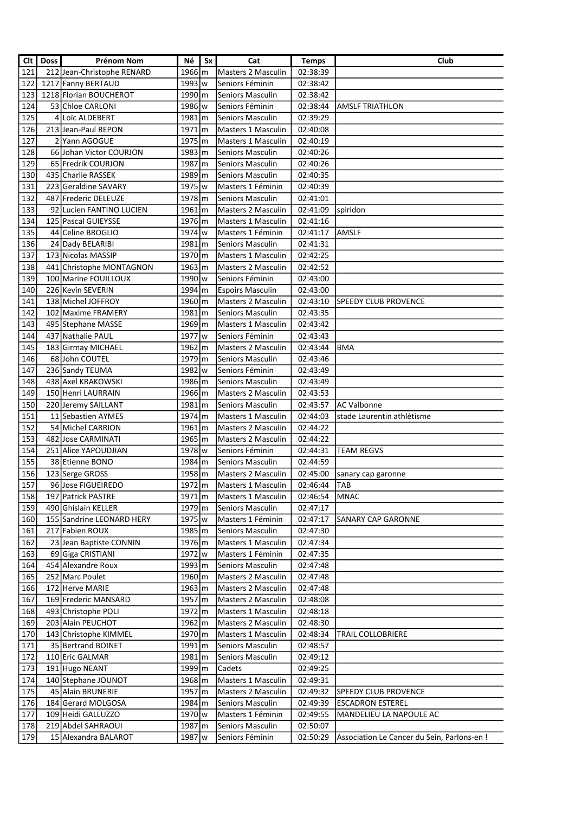| Clt | <b>Doss</b> | Prénom Nom                 | Νé                   | Sx | Cat                       | <b>Temps</b> | Club                                       |
|-----|-------------|----------------------------|----------------------|----|---------------------------|--------------|--------------------------------------------|
| 121 |             | 212 Jean-Christophe RENARD | $1966 \, \rm{m}$     |    | <b>Masters 2 Masculin</b> | 02:38:39     |                                            |
| 122 |             | 1217 Fanny BERTAUD         | 1993 w               |    | Seniors Féminin           | 02:38:42     |                                            |
| 123 |             | 1218 Florian BOUCHEROT     | $1990 \, \mathrm{m}$ |    | <b>Seniors Masculin</b>   | 02:38:42     |                                            |
| 124 |             | 53 Chloe CARLONI           | 1986 lw              |    | Seniors Féminin           | 02:38:44     | <b>AMSLF TRIATHLON</b>                     |
| 125 |             | 4 Loïc ALDEBERT            | $1981 \, \rm{m}$     |    | <b>Seniors Masculin</b>   | 02:39:29     |                                            |
| 126 |             | 213 Jean-Paul REPON        | $1971 \, \rm{m}$     |    | <b>Masters 1 Masculin</b> | 02:40:08     |                                            |
| 127 |             | 2 Yann AGOGUE              | 1975 m               |    | <b>Masters 1 Masculin</b> | 02:40:19     |                                            |
| 128 |             | 66 Johan Victor COURJON    | 1983 m               |    | Seniors Masculin          | 02:40:26     |                                            |
| 129 |             | 65 Fredrik COURJON         | 1987 m               |    | <b>Seniors Masculin</b>   | 02:40:26     |                                            |
| 130 |             | 435 Charlie RASSEK         | 1989 m               |    | <b>Seniors Masculin</b>   | 02:40:35     |                                            |
| 131 |             | 223 Geraldine SAVARY       | 1975 w               |    | Masters 1 Féminin         | 02:40:39     |                                            |
| 132 |             | 487 Frederic DELEUZE       | 1978 m               |    | Seniors Masculin          | 02:41:01     |                                            |
| 133 |             | 92 Lucien FANTINO LUCIEN   | $1961 \, \rm{m}$     |    | <b>Masters 2 Masculin</b> | 02:41:09     | spiridon                                   |
| 134 |             | 125 Pascal GUIEYSSE        | 1976 m               |    | <b>Masters 1 Masculin</b> | 02:41:16     |                                            |
| 135 |             | 44 Celine BROGLIO          | 1974 w               |    | Masters 1 Féminin         | 02:41:17     | <b>AMSLF</b>                               |
| 136 |             | 24 Dady BELARIBI           | $1981$ m             |    | Seniors Masculin          | 02:41:31     |                                            |
| 137 |             | 173 Nicolas MASSIP         | 1970 m               |    | Masters 1 Masculin        | 02:42:25     |                                            |
| 138 |             | 441 Christophe MONTAGNON   | $1963 \, \rm{m}$     |    | Masters 2 Masculin        | 02:42:52     |                                            |
| 139 |             | 100 Marine FOUILLOUX       | 1990 w               |    | Seniors Féminin           | 02:43:00     |                                            |
| 140 |             | 226 Kevin SEVERIN          | 1994 m               |    | <b>Espoirs Masculin</b>   | 02:43:00     |                                            |
| 141 |             | 138 Michel JOFFROY         | 1960 m               |    | Masters 2 Masculin        | 02:43:10     | <b>SPEEDY CLUB PROVENCE</b>                |
| 142 |             | 102 Maxime FRAMERY         | $1981 \, m$          |    | <b>Seniors Masculin</b>   | 02:43:35     |                                            |
| 143 |             | 495 Stephane MASSE         | $1969 \, \mathrm{m}$ |    | <b>Masters 1 Masculin</b> | 02:43:42     |                                            |
| 144 |             | 437 Nathalie PAUL          | 1977 w               |    | Seniors Féminin           | 02:43:43     |                                            |
| 145 |             | 183 Girmay MICHAEL         | $1962 \, \rm{m}$     |    | Masters 2 Masculin        | 02:43:44     | <b>BMA</b>                                 |
| 146 |             | 68 John COUTEL             | $1979$ $\rm{m}$      |    | Seniors Masculin          | 02:43:46     |                                            |
| 147 |             | 236 Sandy TEUMA            | 1982 w               |    | Seniors Féminin           | 02:43:49     |                                            |
| 148 |             | 438 Axel KRAKOWSKI         | $1986 \, \mathrm{m}$ |    | <b>Seniors Masculin</b>   | 02:43:49     |                                            |
| 149 |             | 150 Henri LAURRAIN         | $1966 \, \mathrm{m}$ |    | Masters 2 Masculin        | 02:43:53     |                                            |
| 150 |             | 220 Jeremy SAILLANT        | $1981$ m             |    | <b>Seniors Masculin</b>   | 02:43:57     | AC Valbonne                                |
| 151 |             | 11 Sebastien AYMES         | 1974 m               |    | <b>Masters 1 Masculin</b> | 02:44:03     | stade Laurentin athlétisme                 |
| 152 |             | 54 Michel CARRION          | $1961 \, m$          |    | <b>Masters 2 Masculin</b> | 02:44:22     |                                            |
| 153 |             | 482 Jose CARMINATI         | 1965 m               |    | Masters 2 Masculin        | 02:44:22     |                                            |
| 154 |             | 251 Alice YAPOUDJIAN       | 1978 w               |    | Seniors Féminin           | 02:44:31     | <b>TEAM REGVS</b>                          |
| 155 |             | 38 Etienne BONO            | 1984 m               |    | Seniors Masculin          | 02:44:59     |                                            |
| 156 |             | 123 Serge GROSS            | 1958 m               |    | Masters 2 Masculin        | 02:45:00     | sanary cap garonne                         |
| 157 |             | 96 Jose FIGUEIREDO         | 1972 m               |    | Masters 1 Masculin        | 02:46:44     | TAB                                        |
| 158 |             | 197 Patrick PASTRE         | $1971 \, \rm{m}$     |    | Masters 1 Masculin        | 02:46:54     | MNAC                                       |
| 159 |             | 490 Ghislain KELLER        | 1979 m               |    | Seniors Masculin          | 02:47:17     |                                            |
| 160 |             | 155 Sandrine LEONARD HERY  | 1975   w             |    | Masters 1 Féminin         | 02:47:17     | <b>SANARY CAP GARONNE</b>                  |
| 161 |             | 217 Fabien ROUX            | 1985 m               |    | Seniors Masculin          | 02:47:30     |                                            |
| 162 |             | 23 Jean Baptiste CONNIN    | 1976 m               |    | Masters 1 Masculin        | 02:47:34     |                                            |
| 163 |             | 69 Giga CRISTIANI          | 1972   w             |    | Masters 1 Féminin         | 02:47:35     |                                            |
| 164 |             | 454 Alexandre Roux         | 1993 m               |    | Seniors Masculin          | 02:47:48     |                                            |
| 165 |             | 252 Marc Poulet            | 1960 m               |    | Masters 2 Masculin        | 02:47:48     |                                            |
| 166 |             | 172 Herve MARIE            | $1963 \, \text{m}$   |    | Masters 2 Masculin        | 02:47:48     |                                            |
| 167 |             | 169 Frederic MANSARD       | 1957 m               |    | Masters 2 Masculin        | 02:48:08     |                                            |
| 168 |             | 493 Christophe POLI        | 1972 m               |    | Masters 1 Masculin        | 02:48:18     |                                            |
| 169 |             | 203 Alain PEUCHOT          | 1962 m               |    | Masters 2 Masculin        | 02:48:30     |                                            |
| 170 |             | 143 Christophe KIMMEL      | 1970 m               |    | Masters 1 Masculin        | 02:48:34     | TRAIL COLLOBRIERE                          |
| 171 |             | 35 Bertrand BOINET         | 1991 m               |    | Seniors Masculin          | 02:48:57     |                                            |
| 172 |             | 110 Eric GALMAR            | $1981 \, \rm{m}$     |    | Seniors Masculin          | 02:49:12     |                                            |
| 173 |             | 191 Hugo NEANT             | 1999 m               |    | Cadets                    | 02:49:25     |                                            |
| 174 |             | 140 Stephane JOUNOT        | 1968 m               |    | Masters 1 Masculin        | 02:49:31     |                                            |
| 175 |             | 45 Alain BRUNERIE          | 1957 m               |    | Masters 2 Masculin        | 02:49:32     | <b>SPEEDY CLUB PROVENCE</b>                |
| 176 |             | 184 Gerard MOLGOSA         | 1984 m               |    | Seniors Masculin          | 02:49:39     | <b>ESCADRON ESTEREL</b>                    |
| 177 |             | 109 Heidi GALLUZZO         | 1970 w               |    | Masters 1 Féminin         | 02:49:55     | MANDELIEU LA NAPOULE AC                    |
| 178 |             | 219 Abdel SAHRAOUI         | 1987 m               |    | Seniors Masculin          | 02:50:07     |                                            |
| 179 |             | 15 Alexandra BALAROT       | 1987   w             |    | Seniors Féminin           | 02:50:29     | Association Le Cancer du Sein, Parlons-en! |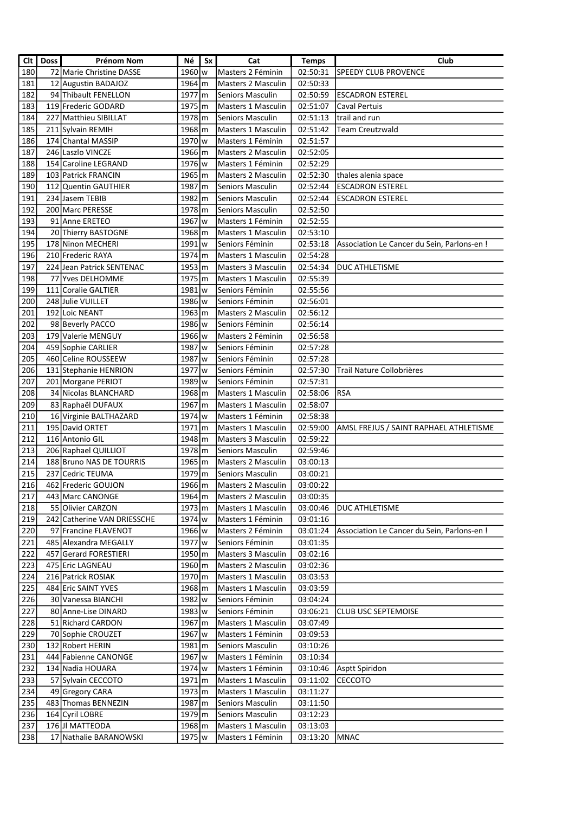| Clt | <b>Doss</b> | Prénom Nom                  | Νé                   | Sx | Cat                       | <b>Temps</b> | Club                                       |
|-----|-------------|-----------------------------|----------------------|----|---------------------------|--------------|--------------------------------------------|
| 180 |             | 72 Marie Christine DASSE    | 1960 lw              |    | Masters 2 Féminin         | 02:50:31     | <b>SPEEDY CLUB PROVENCE</b>                |
| 181 |             | 12 Augustin BADAJOZ         | 1964 m               |    | <b>Masters 2 Masculin</b> | 02:50:33     |                                            |
| 182 |             | 94 Thibault FENELLON        | $1977 \, \rm{m}$     |    | <b>Seniors Masculin</b>   | 02:50:59     | <b>ESCADRON ESTEREL</b>                    |
| 183 |             | 119 Frederic GODARD         | 1975 m               |    | <b>Masters 1 Masculin</b> | 02:51:07     | Caval Pertuis                              |
| 184 |             | 227 Matthieu SIBILLAT       | 1978 m               |    | Seniors Masculin          | 02:51:13     | trail and run                              |
| 185 |             | 211 Sylvain REMIH           | 1968 m               |    | Masters 1 Masculin        | 02:51:42     | <b>Team Creutzwald</b>                     |
| 186 |             | 174 Chantal MASSIP          | 1970 w               |    | Masters 1 Féminin         | 02:51:57     |                                            |
| 187 |             | 246 Laszlo VINCZE           | 1966 m               |    | Masters 2 Masculin        | 02:52:05     |                                            |
| 188 |             | 154 Caroline LEGRAND        | 1976 w               |    | Masters 1 Féminin         | 02:52:29     |                                            |
| 189 |             | 103 Patrick FRANCIN         | 1965 m               |    | Masters 2 Masculin        | 02:52:30     | thales alenia space                        |
| 190 |             | 112 Quentin GAUTHIER        | 1987 m               |    | Seniors Masculin          | 02:52:44     | <b>ESCADRON ESTEREL</b>                    |
| 191 |             | 234 Jasem TEBIB             | 1982 m               |    | <b>Seniors Masculin</b>   | 02:52:44     | <b>ESCADRON ESTEREL</b>                    |
| 192 |             | 200 Marc PERESSE            | 1978 m               |    | Seniors Masculin          | 02:52:50     |                                            |
| 193 |             | 91 Anne ERETEO              | 1967 w               |    | Masters 1 Féminin         | 02:52:55     |                                            |
| 194 |             | 20 Thierry BASTOGNE         | 1968 m               |    | Masters 1 Masculin        | 02:53:10     |                                            |
| 195 |             | 178 Ninon MECHERI           | 1991 w               |    | Seniors Féminin           | 02:53:18     | Association Le Cancer du Sein, Parlons-en! |
| 196 |             | 210 Frederic RAYA           | $1974 \, \rm{m}$     |    | Masters 1 Masculin        | 02:54:28     |                                            |
| 197 |             | 224 Jean Patrick SENTENAC   | $1953 \, m$          |    | Masters 3 Masculin        | 02:54:34     | <b>DUC ATHLETISME</b>                      |
| 198 |             | 77 Yves DELHOMME            | 1975 m               |    | Masters 1 Masculin        | 02:55:39     |                                            |
| 199 |             | 111 Coralie GALTIER         | $1981\mathrm{lw}$    |    | Seniors Féminin           | 02:55:56     |                                            |
| 200 |             | 248 Julie VUILLET           | 1986 w               |    | Seniors Féminin           | 02:56:01     |                                            |
| 201 |             | 192 Loic NEANT              | $1963 \, \rm{m}$     |    | Masters 2 Masculin        | 02:56:12     |                                            |
| 202 |             | 98 Beverly PACCO            | 1986 w               |    | Seniors Féminin           | 02:56:14     |                                            |
| 203 |             | 179 Valerie MENGUY          | $1966$ w             |    | Masters 2 Féminin         | 02:56:58     |                                            |
| 204 |             | 459 Sophie CARLIER          | 1987 w               |    | Seniors Féminin           | 02:57:28     |                                            |
| 205 |             | 460 Celine ROUSSEEW         | 1987 w               |    | Seniors Féminin           | 02:57:28     |                                            |
| 206 |             | 131 Stephanie HENRION       | 1977   w             |    | Seniors Féminin           | 02:57:30     | Trail Nature Collobrières                  |
| 207 |             | 201 Morgane PERIOT          | 1989 w               |    | Seniors Féminin           | 02:57:31     |                                            |
| 208 |             | 34 Nicolas BLANCHARD        | 1968 m               |    | Masters 1 Masculin        | 02:58:06     | RSA                                        |
| 209 |             | 83 Raphaël DUFAUX           | 1967 m               |    | Masters 1 Masculin        | 02:58:07     |                                            |
| 210 |             | 16 Virginie BALTHAZARD      | 1974 w               |    | Masters 1 Féminin         | 02:58:38     |                                            |
| 211 |             | 195 David ORTET             | $1971 \, \rm{m}$     |    | <b>Masters 1 Masculin</b> | 02:59:00     | AMSL FREJUS / SAINT RAPHAEL ATHLETISME     |
| 212 |             | 116 Antonio GIL             | 1948 m               |    | Masters 3 Masculin        | 02:59:22     |                                            |
| 213 |             | 206 Raphael QUILLIOT        | 1978 m               |    | Seniors Masculin          | 02:59:46     |                                            |
| 214 |             | 188 Bruno NAS DE TOURRIS    | $1965 \, \rm{m}$     |    | Masters 2 Masculin        | 03:00:13     |                                            |
| 215 |             | 237 Cedric TEUMA            | 1979 m               |    | Seniors Masculin          | 03:00:21     |                                            |
| 216 |             | 462 Frederic GOUJON         | 1966 m               |    | Masters 2 Masculin        | 03:00:22     |                                            |
| 217 |             | 443 Marc CANONGE            | 1964 m               |    | Masters 2 Masculin        | 03:00:35     |                                            |
| 218 |             | 55 Olivier CARZON           | $1973 \, \text{m}$   |    | Masters 1 Masculin        | 03:00:46     | DUC ATHLETISME                             |
| 219 |             | 242 Catherine VAN DRIESSCHE | 1974 w               |    | Masters 1 Féminin         | 03:01:16     |                                            |
| 220 |             | 97 Francine FLAVENOT        | 1966 w               |    | Masters 2 Féminin         | 03:01:24     | Association Le Cancer du Sein, Parlons-en! |
| 221 |             | 485 Alexandra MEGALLY       | 1977 w               |    | Seniors Féminin           | 03:01:35     |                                            |
| 222 |             | 457 Gerard FORESTIERI       | $1950 \, \mathrm{m}$ |    | Masters 3 Masculin        | 03:02:16     |                                            |
| 223 |             | 475 Eric LAGNEAU            | 1960 m               |    | Masters 2 Masculin        | 03:02:36     |                                            |
| 224 |             | 216 Patrick ROSIAK          | 1970 m               |    | Masters 1 Masculin        | 03:03:53     |                                            |
| 225 |             | 484 Eric SAINT YVES         | 1968 m               |    | Masters 1 Masculin        | 03:03:59     |                                            |
| 226 |             | 30 Vanessa BIANCHI          | 1982 w               |    | Seniors Féminin           | 03:04:24     |                                            |
| 227 |             | 80 Anne-Lise DINARD         | $1983 \vert w$       |    | Seniors Féminin           | 03:06:21     | <b>CLUB USC SEPTEMOISE</b>                 |
| 228 |             | 51 Richard CARDON           | 1967 m               |    | Masters 1 Masculin        | 03:07:49     |                                            |
| 229 |             | 70 Sophie CROUZET           | 1967 w               |    | Masters 1 Féminin         | 03:09:53     |                                            |
| 230 |             | 132 Robert HERIN            | $1981 \, \rm{m}$     |    | Seniors Masculin          | 03:10:26     |                                            |
| 231 |             | 444 Fabienne CANONGE        | 1967 w               |    | Masters 1 Féminin         | 03:10:34     |                                            |
| 232 |             | 134 Nadia HOUARA            | 1974   w             |    | Masters 1 Féminin         | 03:10:46     | Asptt Spiridon                             |
| 233 |             | 57 Sylvain CECCOTO          | 1971   m             |    | Masters 1 Masculin        | 03:11:02     | CECCOTO                                    |
| 234 |             | 49 Gregory CARA             | 1973 m               |    | Masters 1 Masculin        | 03:11:27     |                                            |
| 235 |             | 483 Thomas BENNEZIN         | 1987 m               |    | Seniors Masculin          | 03:11:50     |                                            |
| 236 |             | 164 Cyril LOBRE             | 1979 m               |    | Seniors Masculin          | 03:12:23     |                                            |
| 237 |             | 176 JI MATTEODA             | 1968 m               |    | Masters 1 Masculin        | 03:13:03     |                                            |
| 238 |             | 17 Nathalie BARANOWSKI      | 1975   w             |    | Masters 1 Féminin         | 03:13:20     | <b>MNAC</b>                                |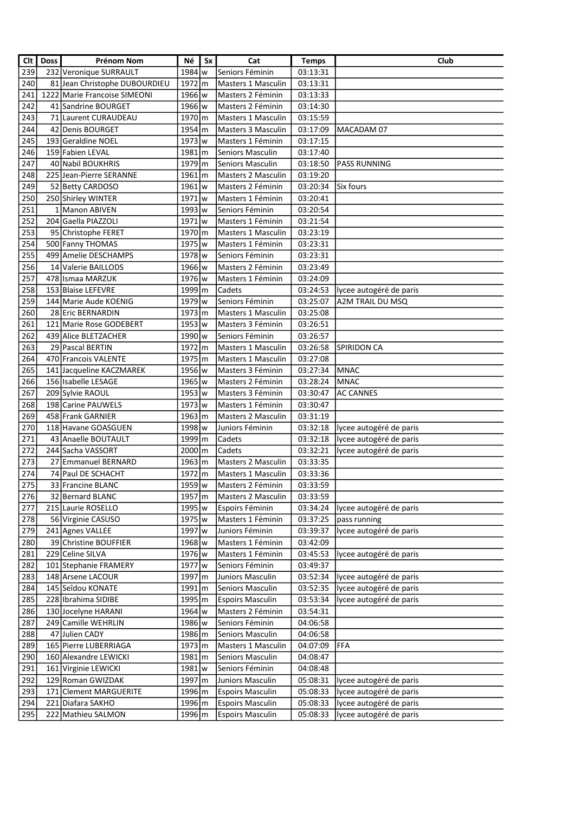| Clt | <b>Doss</b> | Prénom Nom                    | Né                   | Sx | Cat                       | <b>Temps</b> | Club                    |
|-----|-------------|-------------------------------|----------------------|----|---------------------------|--------------|-------------------------|
| 239 |             | 232 Veronique SURRAULT        | 1984 w               |    | Seniors Féminin           | 03:13:31     |                         |
| 240 |             | 81 Jean Christophe DUBOURDIEU | $1972 \, \rm{m}$     |    | <b>Masters 1 Masculin</b> | 03:13:31     |                         |
| 241 |             | 1222 Marie Francoise SIMEONI  | 1966 w               |    | Masters 2 Féminin         | 03:13:33     |                         |
| 242 |             | 41 Sandrine BOURGET           | 1966 w               |    | Masters 2 Féminin         | 03:14:30     |                         |
| 243 |             | 71 Laurent CURAUDEAU          | 1970 m               |    | <b>Masters 1 Masculin</b> | 03:15:59     |                         |
| 244 |             | 42 Denis BOURGET              | 1954 m               |    | Masters 3 Masculin        | 03:17:09     | MACADAM 07              |
| 245 |             | 193 Geraldine NOEL            | 1973 w               |    | Masters 1 Féminin         | 03:17:15     |                         |
| 246 |             | 159 Fabien LEVAL              | 1981 m               |    | Seniors Masculin          | 03:17:40     |                         |
| 247 |             | 40 Nabil BOUKHRIS             | 1979 m               |    | Seniors Masculin          | 03:18:50     | <b>PASS RUNNING</b>     |
| 248 |             | 225 Jean-Pierre SERANNE       | $1961 \, m$          |    | <b>Masters 2 Masculin</b> | 03:19:20     |                         |
| 249 |             | 52 Betty CARDOSO              | $1961$ w             |    | Masters 2 Féminin         | 03:20:34     | Six fours               |
| 250 |             | 250 Shirley WINTER            | 1971 w               |    | Masters 1 Féminin         | 03:20:41     |                         |
| 251 |             | 1 Manon ABIVEN                | 1993   w             |    | Seniors Féminin           | 03:20:54     |                         |
| 252 |             | 204 Gaella PIAZZOLI           | 1971 w               |    | Masters 1 Féminin         | 03:21:54     |                         |
| 253 |             | 95 Christophe FERET           | 1970 m               |    | Masters 1 Masculin        | 03:23:19     |                         |
| 254 |             | 500 Fanny THOMAS              | 1975 w               |    | Masters 1 Féminin         | 03:23:31     |                         |
| 255 |             | 499 Amelie DESCHAMPS          | 1978 w               |    | Seniors Féminin           | 03:23:31     |                         |
| 256 |             | 14 Valerie BAILLODS           | 1966 w               |    | Masters 2 Féminin         | 03:23:49     |                         |
| 257 |             | 478 Ismaa MARZUK              | 1976 w               |    | Masters 1 Féminin         | 03:24:09     |                         |
| 258 |             | 153 Blaise LEFEVRE            | 1999 m               |    | Cadets                    | 03:24:53     | lycee autogéré de paris |
| 259 |             | 144 Marie Aude KOENIG         | 1979 w               |    | Seniors Féminin           | 03:25:07     | A2M TRAIL DU MSQ        |
| 260 |             | 28 Eric BERNARDIN             | $1973 \, \text{m}$   |    | Masters 1 Masculin        | 03:25:08     |                         |
| 261 |             | 121 Marie Rose GODEBERT       | $1953$ w             |    | Masters 3 Féminin         | 03:26:51     |                         |
| 262 |             | 439 Alice BLETZACHER          | $1990 \text{lw}$     |    | Seniors Féminin           | 03:26:57     |                         |
| 263 |             | 29 Pascal BERTIN              | $1972 \, \mathrm{m}$ |    | <b>Masters 1 Masculin</b> | 03:26:58     | SPIRIDON CA             |
| 264 |             | 470 Francois VALENTE          | 1975 m               |    | <b>Masters 1 Masculin</b> | 03:27:08     |                         |
| 265 |             | 141 Jacqueline KACZMAREK      | 1956 w               |    | Masters 3 Féminin         | 03:27:34     | MNAC                    |
| 266 |             | 156 Isabelle LESAGE           | 1965 w               |    | Masters 2 Féminin         | 03:28:24     | MNAC                    |
| 267 |             | 209 Sylvie RAOUL              | $1953$ w             |    | Masters 3 Féminin         | 03:30:47     | <b>AC CANNES</b>        |
| 268 |             | 198 Carine PAUWELS            | 1973   w             |    | Masters 1 Féminin         | 03:30:47     |                         |
| 269 |             | 458 Frank GARNIER             | $1963 \, m$          |    | <b>Masters 2 Masculin</b> | 03:31:19     |                         |
| 270 |             | 118 Havane GOASGUEN           | 1998 w               |    | Juniors Féminin           | 03:32:18     | lycee autogéré de paris |
| 271 |             | 43 Anaelle BOUTAULT           | 1999 m               |    | Cadets                    | 03:32:18     | lycee autogéré de paris |
| 272 |             | 244 Sacha VASSORT             | $2000 \, \rm{m}$     |    | Cadets                    | 03:32:21     | lycee autogéré de paris |
| 273 |             | 27 Emmanuel BERNARD           | $1963 \, \mathrm{m}$ |    | Masters 2 Masculin        | 03:33:35     |                         |
| 274 |             | 74 Paul DE SCHACHT            | 1972 m               |    | Masters 1 Masculin        | 03:33:36     |                         |
| 275 |             | 33 Francine BLANC             | 1959 w               |    | Masters 2 Féminin         | 03:33:59     |                         |
| 276 |             | 32 Bernard BLANC              | $1957 \, \text{m}$   |    | Masters 2 Masculin        | 03:33:59     |                         |
| 277 |             | 215 Laurie ROSELLO            | 1995   w             |    | Espoirs Féminin           | 03:34:24     | lycee autogéré de paris |
| 278 |             | 56 Virginie CASUSO            | 1975   w             |    | Masters 1 Féminin         | 03:37:25     | pass running            |
| 279 |             | 241 Agnes VALLEE              | 1997 w               |    | Juniors Féminin           | 03:39:37     | lycee autogéré de paris |
| 280 |             | 39 Christine BOUFFIER         | 1968 w               |    | Masters 1 Féminin         | 03:42:09     |                         |
| 281 |             | 229 Celine SILVA              | 1976 w               |    | Masters 1 Féminin         | 03:45:53     | lycee autogéré de paris |
| 282 |             | 101 Stephanie FRAMERY         | 1977 w               |    | Seniors Féminin           | 03:49:37     |                         |
| 283 |             | 148 Arsene LACOUR             | 1997 m               |    | Juniors Masculin          | 03:52:34     | lycee autogéré de paris |
| 284 |             | 145 Seîdou KONATE             | $1991 \, \rm{m}$     |    | Seniors Masculin          | 03:52:35     | lycee autogéré de paris |
| 285 |             | 228 Ibrahima SIDIBE           | 1995 m               |    | <b>Espoirs Masculin</b>   | 03:53:34     | lycee autogéré de paris |
| 286 |             | 130 Jocelyne HARANI           | 1964 w               |    | Masters 2 Féminin         | 03:54:31     |                         |
| 287 |             | 249 Camille WEHRLIN           | 1986 w               |    | Seniors Féminin           | 04:06:58     |                         |
| 288 |             | 47 Julien CADY                | 1986 m               |    | Seniors Masculin          | 04:06:58     |                         |
| 289 |             | 165 Pierre LUBERRIAGA         | $1973 \, \text{m}$   |    | Masters 1 Masculin        | 04:07:09     | <b>FFA</b>              |
| 290 |             | 160 Alexandre LEWICKI         | $1981 \, \rm{m}$     |    | Seniors Masculin          | 04:08:47     |                         |
| 291 |             | 161 Virginie LEWICKI          | $1981$ w             |    | Seniors Féminin           | 04:08:48     |                         |
| 292 |             | 129 Roman GWIZDAK             | 1997 m               |    | Juniors Masculin          | 05:08:31     | lycee autogéré de paris |
| 293 |             | 171 Clement MARGUERITE        | 1996 m               |    | <b>Espoirs Masculin</b>   | 05:08:33     | lycee autogéré de paris |
| 294 |             | 221 Diafara SAKHO             | 1996 m               |    | <b>Espoirs Masculin</b>   | 05:08:33     | lycee autogéré de paris |
| 295 |             | 222 Mathieu SALMON            | 1996 m               |    | <b>Espoirs Masculin</b>   | 05:08:33     | lycee autogéré de paris |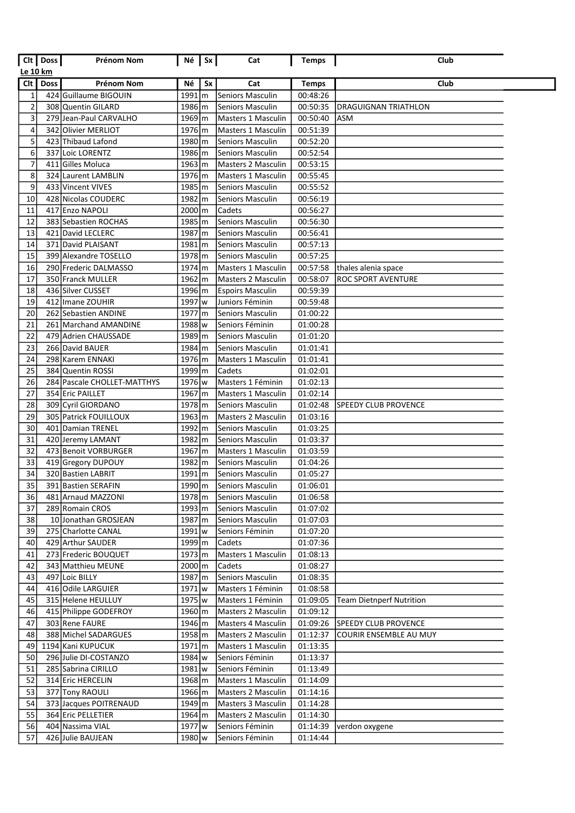|                         | Clt   Doss  | Prénom Nom                  | $Né$ $\vert$ Sx $\vert$ |    | Cat                       | <b>Temps</b> | Club                        |
|-------------------------|-------------|-----------------------------|-------------------------|----|---------------------------|--------------|-----------------------------|
| Le 10 km                |             |                             |                         |    |                           |              |                             |
| Cl <sub>t</sub>         | <b>Doss</b> | <b>Prénom Nom</b>           | Né                      | Sx | Cat                       | <b>Temps</b> | Club                        |
| 1                       |             | 424 Guillaume BIGOUIN       | $1991 \, \rm{m}$        |    | Seniors Masculin          | 00:48:26     |                             |
| $\overline{\mathbf{c}}$ |             | 308 Quentin GILARD          | 1986 m                  |    | <b>Seniors Masculin</b>   | 00:50:35     | DRAGUIGNAN TRIATHLON        |
| 3                       |             | 279 Jean-Paul CARVALHO      | $1969 \, \rm{m}$        |    | <b>Masters 1 Masculin</b> | 00:50:40     | ASM                         |
| 4                       |             | 342 Olivier MERLIOT         | $1976 \, \rm{m}$        |    | <b>Masters 1 Masculin</b> | 00:51:39     |                             |
| 5                       |             | 423 Thibaud Lafond          | 1980 m                  |    | <b>Seniors Masculin</b>   | 00:52:20     |                             |
| 6                       |             | 337 Loic LORENTZ            | 1986 m                  |    | <b>Seniors Masculin</b>   | 00:52:54     |                             |
| 7                       |             | 411 Gilles Moluca           | $1963 \, \text{m}$      |    | <b>Masters 2 Masculin</b> | 00:53:15     |                             |
| 8                       |             | 324 Laurent LAMBLIN         | 1976 m                  |    | <b>Masters 1 Masculin</b> | 00:55:45     |                             |
| 9                       |             | 433 Vincent VIVES           | 1985 m                  |    | <b>Seniors Masculin</b>   | 00:55:52     |                             |
| 10                      |             | 428 Nicolas COUDERC         | 1982 m                  |    | Seniors Masculin          | 00:56:19     |                             |
| 11                      |             | 417 Enzo NAPOLI             | $2000 \, \text{m}$      |    | Cadets                    | 00:56:27     |                             |
| 12                      |             | 383 Sebastien ROCHAS        | 1985 m                  |    | Seniors Masculin          | 00:56:30     |                             |
| 13                      |             | 421 David LECLERC           | 1987 m                  |    | <b>Seniors Masculin</b>   | 00:56:41     |                             |
| 14                      |             | 371 David PLAISANT          | $1981$ m                |    | <b>Seniors Masculin</b>   | 00:57:13     |                             |
| 15                      |             | 399 Alexandre TOSELLO       | 1978 m                  |    | <b>Seniors Masculin</b>   | 00:57:25     |                             |
| 16                      |             | 290 Frederic DALMASSO       | 1974 <sub>cm</sub>      |    | Masters 1 Masculin        | 00:57:58     | thales alenia space         |
| 17                      |             | 350 Franck MULLER           | $1962 \, \mathrm{m}$    |    | Masters 2 Masculin        | 00:58:07     | ROC SPORT AVENTURE          |
| 18                      |             | 436 Silver CUSSET           | 1996 m                  |    | <b>Espoirs Masculin</b>   | 00:59:39     |                             |
| 19                      |             | 412 Imane ZOUHIR            | 1997 w                  |    | Juniors Féminin           | 00:59:48     |                             |
| 20                      |             | 262 Sebastien ANDINE        | $1977$ $\rm \mid m$     |    | Seniors Masculin          | 01:00:22     |                             |
| 21                      |             | 261 Marchand AMANDINE       | 1988 w                  |    | Seniors Féminin           | 01:00:28     |                             |
| 22                      |             | 479 Adrien CHAUSSADE        | 1989 m                  |    | Seniors Masculin          | 01:01:20     |                             |
| 23                      |             | 266 David BAUER             | 1984 m                  |    | Seniors Masculin          | 01:01:41     |                             |
| 24                      |             | 298 Karem ENNAKI            | 1976 m                  |    | Masters 1 Masculin        | 01:01:41     |                             |
| 25                      |             | 384 Quentin ROSSI           | 1999 m                  |    | Cadets                    | 01:02:01     |                             |
| 26                      |             | 284 Pascale CHOLLET-MATTHYS | $1976$ w                |    | Masters 1 Féminin         | 01:02:13     |                             |
| 27                      |             | 354 Eric PAILLET            | $1967 \, \rm{m}$        |    | <b>Masters 1 Masculin</b> | 01:02:14     |                             |
| 28                      |             | 309 Cyril GIORDANO          | 1978 m                  |    | Seniors Masculin          | 01:02:48     | <b>SPEEDY CLUB PROVENCE</b> |
| 29                      |             | 305 Patrick FOUILLOUX       | $1963 \, \text{m}$      |    | <b>Masters 2 Masculin</b> | 01:03:16     |                             |
| 30                      |             | 401 Damian TRENEL           | 1992 m                  |    | <b>Seniors Masculin</b>   | 01:03:25     |                             |
| 31                      |             | 420 Jeremy LAMANT           | 1982 m                  |    | Seniors Masculin          | 01:03:37     |                             |
| 32                      |             | 473 Benoit VORBURGER        | 1967 m                  |    | Masters 1 Masculin        | 01:03:59     |                             |
| 33                      |             | 419 Gregory DUPOUY          | $1982 \overline{m}$     |    | <b>Seniors Masculin</b>   | 01:04:26     |                             |
| 34                      |             | 320 Bastien LABRIT          | 1991 m                  |    | Seniors Masculin          | 01:05:27     |                             |
| 35                      |             | 391 Bastien SERAFIN         |                         |    | 1990 m Seniors Masculin   | 01:06:01     |                             |
| 36                      |             | 481 Arnaud MAZZONI          | 1978 m                  |    | Seniors Masculin          | 01:06:58     |                             |
| 37                      |             | 289 Romain CROS             | 1993 m                  |    | Seniors Masculin          | 01:07:02     |                             |
| 38                      |             | 10 Jonathan GROSJEAN        | 1987 m                  |    | Seniors Masculin          | 01:07:03     |                             |
| 39                      |             | 275 Charlotte CANAL         | 1991   w                |    | Seniors Féminin           | 01:07:20     |                             |
| 40                      |             | 429 Arthur SAUDER           | 1999 m                  |    | Cadets                    | 01:07:36     |                             |
| 41                      |             | 273 Frederic BOUQUET        | $1973 \, \text{m}$      |    | Masters 1 Masculin        | 01:08:13     |                             |
| 42                      |             | 343 Matthieu MEUNE          | $2000 \, \text{m}$      |    | Cadets                    | 01:08:27     |                             |
| 43                      |             | 497 Loic BILLY              | 1987 m                  |    | Seniors Masculin          | 01:08:35     |                             |
| 44                      |             | 416 Odile LARGUIER          | $1971$ w                |    | Masters 1 Féminin         | 01:08:58     |                             |
| 45                      |             | 315 Helene HEULLUY          | 1975 w                  |    | Masters 1 Féminin         | 01:09:05     | Team Dietnperf Nutrition    |
| 46                      |             | 415 Philippe GODEFROY       | 1960 m                  |    | Masters 2 Masculin        | 01:09:12     |                             |
| 47                      |             | 303 Rene FAURE              | 1946 m                  |    | Masters 4 Masculin        | 01:09:26     | <b>SPEEDY CLUB PROVENCE</b> |
| 48                      |             | 388 Michel SADARGUES        | 1958 m                  |    | Masters 2 Masculin        | 01:12:37     | COURIR ENSEMBLE AU MUY      |
| 49                      |             | 1194 Kani KUPUCUK           | 1971 m                  |    | Masters 1 Masculin        | 01:13:35     |                             |
| 50                      |             | 296 Julie DI-COSTANZO       | 1984 w                  |    | Seniors Féminin           | 01:13:37     |                             |
| 51                      |             | 285 Sabrina CIRILLO         | 1981 w                  |    | Seniors Féminin           | 01:13:49     |                             |
|                         |             |                             |                         |    |                           |              |                             |
| 52                      |             | 314 Eric HERCELIN           | 1968 m                  |    | Masters 1 Masculin        | 01:14:09     |                             |
| 53                      |             | 377 Tony RAOULI             | 1966 m                  |    | Masters 2 Masculin        | 01:14:16     |                             |
| 54                      |             | 373 Jacques POITRENAUD      | 1949 m                  |    | Masters 3 Masculin        | 01:14:28     |                             |
| 55                      |             | 364 Eric PELLETIER          | 1964 m                  |    | <b>Masters 2 Masculin</b> | 01:14:30     |                             |
| 56                      |             | 404 Nassima VIAL            | 1977 w                  |    | Seniors Féminin           | 01:14:39     | verdon oxygene              |
| 57                      |             | 426 Julie BAUJEAN           | 1980 w                  |    | Seniors Féminin           | 01:14:44     |                             |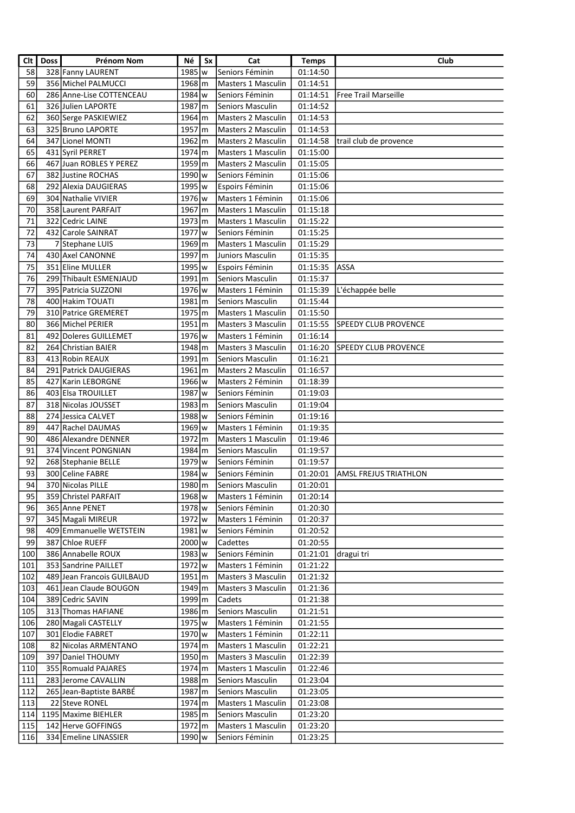| Clt | <b>Doss</b> | <b>Prénom Nom</b>          | Né                   | Sx | Cat                                     | <b>Temps</b> | Club                         |
|-----|-------------|----------------------------|----------------------|----|-----------------------------------------|--------------|------------------------------|
| 58  |             | 328 Fanny LAURENT          | 1985 w               |    | Seniors Féminin                         | 01:14:50     |                              |
| 59  |             | 356 Michel PALMUCCI        | $1968 \text{m}$      |    | <b>Masters 1 Masculin</b>               | 01:14:51     |                              |
| 60  |             | 286 Anne-Lise COTTENCEAU   | 1984 w               |    | Seniors Féminin                         | 01:14:51     | <b>Free Trail Marseille</b>  |
| 61  |             | 326 Julien LAPORTE         | 1987 m               |    | <b>Seniors Masculin</b>                 | 01:14:52     |                              |
| 62  |             | 360 Serge PASKIEWIEZ       | 1964 m               |    | <b>Masters 2 Masculin</b>               | 01:14:53     |                              |
| 63  |             | 325 Bruno LAPORTE          | 1957 m               |    | <b>Masters 2 Masculin</b>               | 01:14:53     |                              |
| 64  |             | 347 Lionel MONTI           | 1962 m               |    | Masters 2 Masculin                      | 01:14:58     | trail club de provence       |
| 65  |             | 431 Syril PERRET           | 1974 m               |    | Masters 1 Masculin                      | 01:15:00     |                              |
| 66  |             | 467 Juan ROBLES Y PEREZ    | 1959 m               |    | Masters 2 Masculin                      | 01:15:05     |                              |
| 67  |             | 382 Justine ROCHAS         | 1990 w               |    | Seniors Féminin                         | 01:15:06     |                              |
| 68  |             | 292 Alexia DAUGIERAS       | 1995 w               |    | Espoirs Féminin                         | 01:15:06     |                              |
| 69  |             | 304 Nathalie VIVIER        | 1976 w               |    |                                         |              |                              |
| 70  |             | 358 Laurent PARFAIT        |                      |    | Masters 1 Féminin<br>Masters 1 Masculin | 01:15:06     |                              |
|     |             | 322 Cedric LAINE           | 1967 m               |    |                                         | 01:15:18     |                              |
| 71  |             |                            | 1973 m               |    | Masters 1 Masculin                      | 01:15:22     |                              |
| 72  |             | 432 Carole SAINRAT         | 1977 w               |    | Seniors Féminin                         | 01:15:25     |                              |
| 73  |             | 7 Stephane LUIS            | 1969 m               |    | Masters 1 Masculin                      | 01:15:29     |                              |
| 74  |             | 430 Axel CANONNE           | 1997 m               |    | Juniors Masculin                        | 01:15:35     |                              |
| 75  |             | 351 Eline MULLER           | 1995 w               |    | Espoirs Féminin                         | 01:15:35     | <b>ASSA</b>                  |
| 76  |             | 299 Thibault ESMENJAUD     | $1991$ m             |    | Seniors Masculin                        | 01:15:37     |                              |
| 77  |             | 395 Patricia SUZZONI       | 1976 w               |    | Masters 1 Féminin                       | 01:15:39     | L'échappée belle             |
| 78  |             | 400 Hakim TOUATI           | $1981$ m             |    | Seniors Masculin                        | 01:15:44     |                              |
| 79  |             | 310 Patrice GREMERET       | 1975 m               |    | Masters 1 Masculin                      | 01:15:50     |                              |
| 80  |             | 366 Michel PERIER          | $1951$ $\rm{m}$      |    | <b>Masters 3 Masculin</b>               | 01:15:55     | <b>SPEEDY CLUB PROVENCE</b>  |
| 81  |             | 492 Doleres GUILLEMET      | 1976 w               |    | Masters 1 Féminin                       | 01:16:14     |                              |
| 82  |             | 264 Christian BAIER        | $1948 \, \rm{m}$     |    | Masters 3 Masculin                      | 01:16:20     | <b>SPEEDY CLUB PROVENCE</b>  |
| 83  |             | 413 Robin REAUX            | $1991$ m             |    | Seniors Masculin                        | 01:16:21     |                              |
| 84  |             | 291 Patrick DAUGIERAS      | $1961 \, m$          |    | <b>Masters 2 Masculin</b>               | 01:16:57     |                              |
| 85  |             | 427 Karin LEBORGNE         | 1966 w               |    | Masters 2 Féminin                       | 01:18:39     |                              |
| 86  |             | 403 Elsa TROUILLET         | 1987 w               |    | Seniors Féminin                         | 01:19:03     |                              |
| 87  |             | 318 Nicolas JOUSSET        | 1983 m               |    | Seniors Masculin                        | 01:19:04     |                              |
| 88  |             | 274 Jessica CALVET         | 1988 w               |    | Seniors Féminin                         | 01:19:16     |                              |
| 89  |             | 447 Rachel DAUMAS          | 1969 w               |    | Masters 1 Féminin                       | 01:19:35     |                              |
| 90  |             | 486 Alexandre DENNER       | 1972 m               |    | Masters 1 Masculin                      | 01:19:46     |                              |
| 91  |             | 374 Vincent PONGNIAN       | 1984 m               |    | Seniors Masculin                        | 01:19:57     |                              |
| 92  |             | 268 Stephanie BELLE        | 1979 w               |    | Seniors Féminin                         | 01:19:57     |                              |
| 93  |             | 300 Celine FABRE           | 1984 w               |    | Seniors Féminin                         | 01:20:01     | <b>AMSL FREJUS TRIATHLON</b> |
| 94  |             | 370 Nicolas PILLE          | 1980 m               |    | Seniors Masculin                        | 01:20:01     |                              |
| 95  |             | 359 Christel PARFAIT       | 1968 w               |    | Masters 1 Féminin                       | 01:20:14     |                              |
| 96  |             | 365 Anne PENET             | 1978 w               |    | Seniors Féminin                         | 01:20:30     |                              |
| 97  |             | 345 Magali MIREUR          | 1972 w               |    | Masters 1 Féminin                       | 01:20:37     |                              |
| 98  |             | 409 Emmanuelle WETSTEIN    | 1981 w               |    | Seniors Féminin                         | 01:20:52     |                              |
| 99  |             | 387 Chloe RUEFF            | 2000 w               |    | Cadettes                                | 01:20:55     |                              |
| 100 |             | 386 Annabelle ROUX         | 1983 w               |    | Seniors Féminin                         | 01:21:01     | dragui tri                   |
| 101 |             | 353 Sandrine PAILLET       | 1972 w               |    | Masters 1 Féminin                       | 01:21:22     |                              |
| 102 |             | 489 Jean Francois GUILBAUD | $1951 \, \rm{m}$     |    | Masters 3 Masculin                      |              |                              |
|     |             |                            |                      |    |                                         | 01:21:32     |                              |
| 103 |             | 461 Jean Claude BOUGON     | 1949 m               |    | Masters 3 Masculin                      | 01:21:36     |                              |
| 104 |             | 389 Cedric SAVIN           | 1999 m               |    | Cadets                                  | 01:21:38     |                              |
| 105 |             | 313 Thomas HAFIANE         | 1986 m               |    | Seniors Masculin                        | 01:21:51     |                              |
| 106 |             | 280 Magali CASTELLY        | 1975 w               |    | Masters 1 Féminin                       | 01:21:55     |                              |
| 107 |             | 301 Elodie FABRET          | 1970 w               |    | Masters 1 Féminin                       | 01:22:11     |                              |
| 108 |             | 82 Nicolas ARMENTANO       | $1974 \, \rm{m}$     |    | Masters 1 Masculin                      | 01:22:21     |                              |
| 109 |             | 397 Daniel THOUMY          | $1950 \, \mathrm{m}$ |    | Masters 3 Masculin                      | 01:22:39     |                              |
| 110 |             | 355 Romuald PAJARES        | $1974 \, \rm{m}$     |    | Masters 1 Masculin                      | 01:22:46     |                              |
| 111 |             | 283 Jerome CAVALLIN        | 1988 m               |    | Seniors Masculin                        | 01:23:04     |                              |
| 112 |             | 265 Jean-Baptiste BARBÉ    | 1987 m               |    | Seniors Masculin                        | 01:23:05     |                              |
| 113 |             | 22 Steve RONEL             | 1974 m               |    | Masters 1 Masculin                      | 01:23:08     |                              |
| 114 |             | 1195 Maxime BIEHLER        | 1985 m               |    | Seniors Masculin                        | 01:23:20     |                              |
| 115 |             | 142 Herve GOFFINGS         | 1972 m               |    | Masters 1 Masculin                      | 01:23:20     |                              |
| 116 |             | 334 Emeline LINASSIER      | 1990 w               |    | Seniors Féminin                         | 01:23:25     |                              |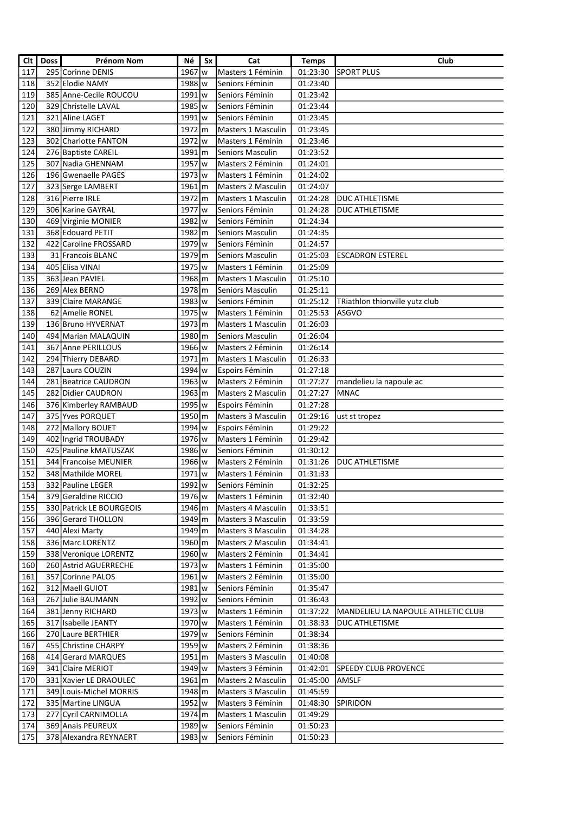| $\overline{\text{Clt}}$ | <b>Doss</b> | Prénom Nom               | Νé                 | Sx | Cat                       | <b>Temps</b> | <b>Club</b>                               |
|-------------------------|-------------|--------------------------|--------------------|----|---------------------------|--------------|-------------------------------------------|
| 117                     |             | 295 Corinne DENIS        | 1967 w             |    | Masters 1 Féminin         | 01:23:30     | <b>SPORT PLUS</b>                         |
| 118                     |             | 352 Elodie NAMY          | 1988 w             |    | Seniors Féminin           | 01:23:40     |                                           |
| 119                     |             | 385 Anne-Cecile ROUCOU   | $1991$ w           |    | Seniors Féminin           | 01:23:42     |                                           |
| 120                     |             | 329 Christelle LAVAL     | 1985   w           |    | Seniors Féminin           | 01:23:44     |                                           |
| 121                     |             | 321 Aline LAGET          | 1991   w           |    | Seniors Féminin           | 01:23:45     |                                           |
| 122                     |             | 380 Jimmy RICHARD        | 1972 m             |    | <b>Masters 1 Masculin</b> | 01:23:45     |                                           |
| 123                     |             | 302 Charlotte FANTON     | 1972 w             |    | Masters 1 Féminin         | 01:23:46     |                                           |
| 124                     |             | 276 Baptiste CAREIL      | 1991 m             |    | <b>Seniors Masculin</b>   | 01:23:52     |                                           |
| 125                     |             | 307 Nadia GHENNAM        | 1957 w             |    | Masters 2 Féminin         | 01:24:01     |                                           |
| 126                     |             | 196 Gwenaelle PAGES      | 1973 w             |    | Masters 1 Féminin         | 01:24:02     |                                           |
| 127                     |             | 323 Serge LAMBERT        | $1961 \, m$        |    | Masters 2 Masculin        | 01:24:07     |                                           |
| 128                     |             | 316 Pierre IRLE          | 1972 m             |    | Masters 1 Masculin        | 01:24:28     | <b>DUC ATHLETISME</b>                     |
| 129                     |             | 306 Karine GAYRAL        | 1977 w             |    | Seniors Féminin           | 01:24:28     | <b>DUC ATHLETISME</b>                     |
| 130                     |             | 469 Virginie MONIER      | 1982 w             |    | Seniors Féminin           | 01:24:34     |                                           |
| 131                     |             | 368 Edouard PETIT        | 1982 m             |    | <b>Seniors Masculin</b>   | 01:24:35     |                                           |
| 132                     |             | 422 Caroline FROSSARD    | 1979 w             |    | Seniors Féminin           | 01:24:57     |                                           |
| 133                     |             | 31 Francois BLANC        | 1979 m             |    | Seniors Masculin          | 01:25:03     | <b>ESCADRON ESTEREL</b>                   |
| 134                     |             | 405 Elisa VINAI          | 1975 w             |    | Masters 1 Féminin         | 01:25:09     |                                           |
| 135                     |             | 363 Jean PAVIEL          | 1968 m             |    | <b>Masters 1 Masculin</b> | 01:25:10     |                                           |
| 136                     |             | 269 Alex BERND           | 1978m              |    | Seniors Masculin          | 01:25:11     |                                           |
| 137                     |             | 339 Claire MARANGE       | $1983$ w           |    | Seniors Féminin           | 01:25:12     | TRiathlon thionville yutz club            |
| 138                     |             | 62 Amelie RONEL          | 1975 w             |    | Masters 1 Féminin         | 01:25:53     | lasgvo                                    |
| 139                     |             | 136 Bruno HYVERNAT       | $1973 \, \text{m}$ |    | Masters 1 Masculin        | 01:26:03     |                                           |
| 140                     |             | 494 Marian MALAQUIN      | 1980 m             |    | Seniors Masculin          | 01:26:04     |                                           |
| 141                     |             | 367 Anne PERILLOUS       | 1966 w             |    | Masters 2 Féminin         | 01:26:14     |                                           |
| 142                     |             | 294 Thierry DEBARD       | $1971 \, \text{m}$ |    | Masters 1 Masculin        | 01:26:33     |                                           |
| 143                     |             | 287 Laura COUZIN         | $1994$ w           |    | Espoirs Féminin           | 01:27:18     |                                           |
| 144                     |             | 281 Beatrice CAUDRON     | $1963$ w           |    | Masters 2 Féminin         | 01:27:27     | mandelieu la napoule ac                   |
| 145                     |             | 282 Didier CAUDRON       | $1963 \, \rm{km}$  |    | Masters 2 Masculin        | 01:27:27     | MNAC                                      |
| 146                     |             | 376 Kimberley RAMBAUD    | 1995   w           |    | Espoirs Féminin           | 01:27:28     |                                           |
| $147$                   |             | 375 Yves PORQUET         | 1950 m             |    | Masters 3 Masculin        | 01:29:16     | ust st tropez                             |
| 148                     |             | 272 Mallory BOUET        | 1994 w             |    | Espoirs Féminin           | 01:29:22     |                                           |
| 149                     |             | 402 Ingrid TROUBADY      | 1976 w             |    | Masters 1 Féminin         | 01:29:42     |                                           |
| 150                     |             | 425 Pauline kMATUSZAK    | 1986 w             |    | Seniors Féminin           | 01:30:12     |                                           |
| 151                     |             | 344 Francoise MEUNIER    | 1966 w             |    | Masters 2 Féminin         | 01:31:26     | <b>DUC ATHLETISME</b>                     |
| 152                     |             | 348 Mathilde MOREL       | 1971 w             |    | Masters 1 Féminin         | 01:31:33     |                                           |
| 153                     |             | 332 Pauline LEGER        | 1992   w           |    | Seniors Féminin           | 01:32:25     |                                           |
| 154                     |             | 379 Geraldine RICCIO     | 1976   w           |    | Masters 1 Féminin         | 01:32:40     |                                           |
| 155                     |             | 330 Patrick LE BOURGEOIS | 1946 m             |    | Masters 4 Masculin        | 01:33:51     |                                           |
| 156                     |             | 396 Gerard THOLLON       | 1949 m             |    | Masters 3 Masculin        | 01:33:59     |                                           |
| 157                     |             | 440 Alexi Marty          | 1949 m             |    | Masters 3 Masculin        | 01:34:28     |                                           |
| 158                     |             | 336 Marc LORENTZ         | 1960 m             |    | <b>Masters 2 Masculin</b> | 01:34:41     |                                           |
| 159                     |             | 338 Veronique LORENTZ    | 1960 w             |    | Masters 2 Féminin         | 01:34:41     |                                           |
| 160                     |             | 260 Astrid AGUERRECHE    | 1973 w             |    | Masters 1 Féminin         | 01:35:00     |                                           |
| 161                     |             | 357 Corinne PALOS        | $1961 \text{w}$    |    | Masters 2 Féminin         | 01:35:00     |                                           |
| 162                     |             | 312 Maell GUIOT          | $1981 \text{w}$    |    | Seniors Féminin           | 01:35:47     |                                           |
| 163                     |             | 267 Julie BAUMANN        | 1992   w           |    | Seniors Féminin           | 01:36:43     |                                           |
| 164                     |             | 381 Jenny RICHARD        | $1973 \text{w}$    |    | Masters 1 Féminin         | 01:37:22     | <b>MANDELIEU LA NAPOULE ATHLETIC CLUB</b> |
| 165                     |             | 317 Isabelle JEANTY      | 1970 w             |    | Masters 1 Féminin         | 01:38:33     | DUC ATHLETISME                            |
| 166                     |             | 270 Laure BERTHIER       | 1979 w             |    | Seniors Féminin           | 01:38:34     |                                           |
| 167                     |             | 455 Christine CHARPY     | $1959$ w           |    | Masters 2 Féminin         | 01:38:36     |                                           |
| 168                     |             | 414 Gerard MARQUES       | $1951 \, \text{m}$ |    | Masters 3 Masculin        | 01:40:08     |                                           |
| 169                     |             | 341 Claire MERIOT        | 1949 w             |    | Masters 3 Féminin         | 01:42:01     | <b>SPEEDY CLUB PROVENCE</b>               |
| 170                     |             | 331 Xavier LE DRAOULEC   | $1961 \, \rm{m}$   |    | Masters 2 Masculin        | 01:45:00     | AMSLF                                     |
| 171                     |             | 349 Louis-Michel MORRIS  | 1948 m             |    | Masters 3 Masculin        | 01:45:59     |                                           |
| 172                     |             | 335   Martine LINGUA     | 1952   w           |    | Masters 3 Féminin         | 01:48:30     | <b>SPIRIDON</b>                           |
| 173                     |             | 277 Cyril CARNIMOLLA     | 1974 m             |    | Masters 1 Masculin        | 01:49:29     |                                           |
| 174                     |             | 369 Anais PEUREUX        | 1989 w             |    | Seniors Féminin           | 01:50:23     |                                           |
| 175                     |             | 378 Alexandra REYNAERT   | 1983   w           |    | Seniors Féminin           | 01:50:23     |                                           |